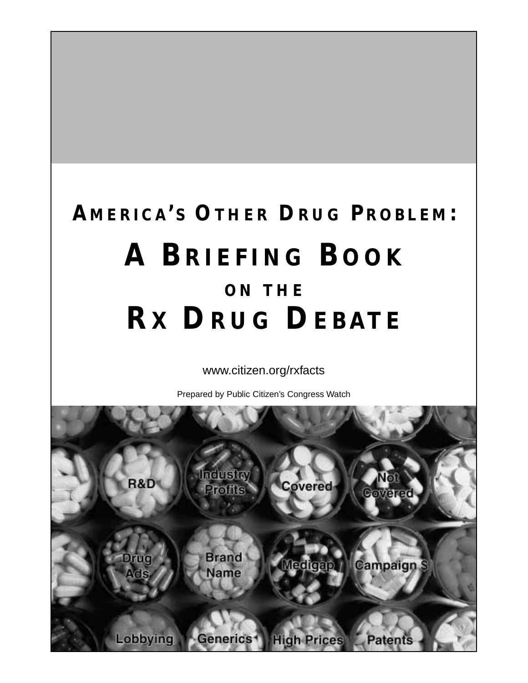# **AMERICA'S OTHER DRUG PROBLEM: A BRIEFING BOOK ON THE RX DRUG DEBATE**

www.citizen.org/rxfacts

Prepared by Public Citizen's Congress Watch

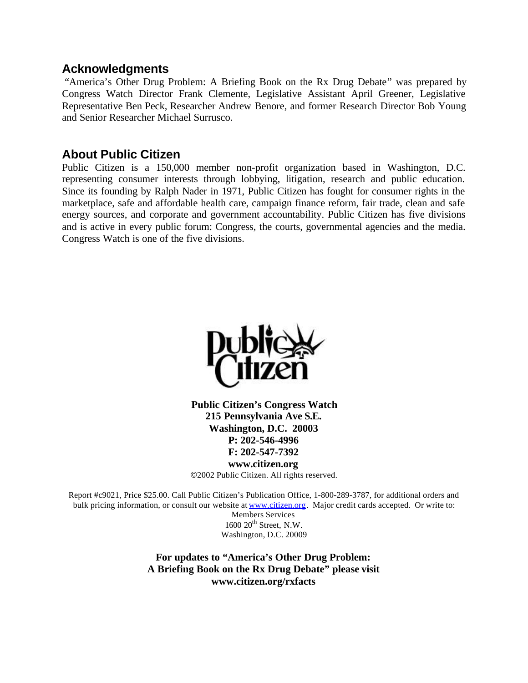#### **Acknowledgments**

 "America's Other Drug Problem: A Briefing Book on the Rx Drug Debate" was prepared by Congress Watch Director Frank Clemente, Legislative Assistant April Greener, Legislative Representative Ben Peck, Researcher Andrew Benore, and former Research Director Bob Young and Senior Researcher Michael Surrusco.

#### **About Public Citizen**

Public Citizen is a 150,000 member non-profit organization based in Washington, D.C. representing consumer interests through lobbying, litigation, research and public education. Since its founding by Ralph Nader in 1971, Public Citizen has fought for consumer rights in the marketplace, safe and affordable health care, campaign finance reform, fair trade, clean and safe energy sources, and corporate and government accountability. Public Citizen has five divisions and is active in every public forum: Congress, the courts, governmental agencies and the media. Congress Watch is one of the five divisions.



**Public Citizen's Congress Watch 215 Pennsylvania Ave S.E. Washington, D.C. 20003 P: 202-546-4996 F: 202-547-7392**

**www.citizen.org**

©2002 Public Citizen. All rights reserved.

Report #c9021, Price \$25.00. Call Public Citizen's Publication Office, 1-800-289-3787, for additional orders and bulk pricing information, or consult our website at www.citizen.org. Major credit cards accepted. Or write to:

Members Services  $1600 20$ <sup>th</sup> Street, N.W. Washington, D.C. 20009

**For updates to "America's Other Drug Problem: A Briefing Book on the Rx Drug Debate" please visit www.citizen.org/rxfacts**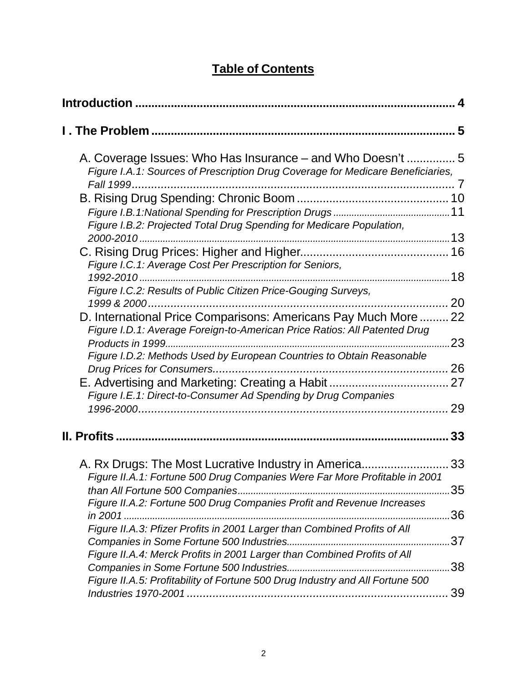# **Table of Contents**

|                                                                                                                                                            | 4         |
|------------------------------------------------------------------------------------------------------------------------------------------------------------|-----------|
|                                                                                                                                                            |           |
| A. Coverage Issues: Who Has Insurance – and Who Doesn't  5<br>Figure I.A.1: Sources of Prescription Drug Coverage for Medicare Beneficiaries,<br>Fall 1999 |           |
| Figure I.B.2: Projected Total Drug Spending for Medicare Population,                                                                                       |           |
|                                                                                                                                                            |           |
| Figure I.C.1: Average Cost Per Prescription for Seniors,<br>Figure I.C.2: Results of Public Citizen Price-Gouging Surveys,                                 |           |
| D. International Price Comparisons: Americans Pay Much More  22<br>Figure I.D.1: Average Foreign-to-American Price Ratios: All Patented Drug               | 20        |
| Figure I.D.2: Methods Used by European Countries to Obtain Reasonable                                                                                      | 23        |
| Drug Prices for Consumers<br>E. Advertising and Marketing: Creating a Habit<br>Figure I.E.1: Direct-to-Consumer Ad Spending by Drug Companies              | 27        |
| <b>II. Profits</b>                                                                                                                                         | 29<br>33  |
| A. Rx Drugs: The Most Lucrative Industry in America33                                                                                                      |           |
| Figure II.A.1: Fortune 500 Drug Companies Were Far More Profitable in 2001<br>Figure II.A.2: Fortune 500 Drug Companies Profit and Revenue Increases       | 35        |
| Figure II.A.3: Pfizer Profits in 2001 Larger than Combined Profits of All                                                                                  | 36        |
| Figure II.A.4: Merck Profits in 2001 Larger than Combined Profits of All                                                                                   | 37<br>.38 |
| Figure II.A.5: Profitability of Fortune 500 Drug Industry and All Fortune 500                                                                              | 39        |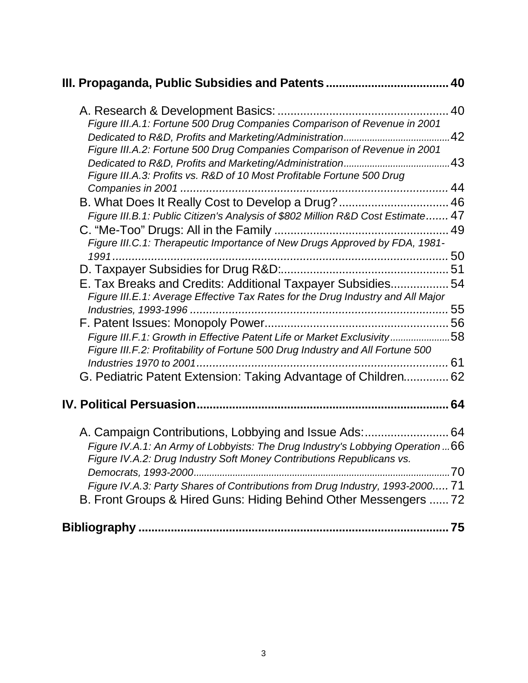|                                                                                                                                                                                                                                                                                                     | 40 |
|-----------------------------------------------------------------------------------------------------------------------------------------------------------------------------------------------------------------------------------------------------------------------------------------------------|----|
| Figure III.A.1: Fortune 500 Drug Companies Comparison of Revenue in 2001                                                                                                                                                                                                                            |    |
| Figure III.A.2: Fortune 500 Drug Companies Comparison of Revenue in 2001<br>Figure III.A.3: Profits vs. R&D of 10 Most Profitable Fortune 500 Drug                                                                                                                                                  |    |
|                                                                                                                                                                                                                                                                                                     |    |
| B. What Does It Really Cost to Develop a Drug?  46                                                                                                                                                                                                                                                  |    |
| Figure III.B.1: Public Citizen's Analysis of \$802 Million R&D Cost Estimate 47                                                                                                                                                                                                                     |    |
| Figure III.C.1: Therapeutic Importance of New Drugs Approved by FDA, 1981-                                                                                                                                                                                                                          |    |
| 1991                                                                                                                                                                                                                                                                                                |    |
|                                                                                                                                                                                                                                                                                                     |    |
| E. Tax Breaks and Credits: Additional Taxpayer Subsidies 54<br>Figure III.E.1: Average Effective Tax Rates for the Drug Industry and All Major                                                                                                                                                      |    |
|                                                                                                                                                                                                                                                                                                     |    |
| Figure III.F.1: Growth in Effective Patent Life or Market Exclusivity58                                                                                                                                                                                                                             |    |
| Figure III.F.2: Profitability of Fortune 500 Drug Industry and All Fortune 500                                                                                                                                                                                                                      |    |
| G. Pediatric Patent Extension: Taking Advantage of Children 62                                                                                                                                                                                                                                      |    |
|                                                                                                                                                                                                                                                                                                     |    |
| A. Campaign Contributions, Lobbying and Issue Ads:  64<br>Figure IV.A.1: An Army of Lobbyists: The Drug Industry's Lobbying Operation  66<br>Figure IV.A.2: Drug Industry Soft Money Contributions Republicans vs.<br>Figure IV.A.3: Party Shares of Contributions from Drug Industry, 1993-2000 71 |    |
| B. Front Groups & Hired Guns: Hiding Behind Other Messengers  72                                                                                                                                                                                                                                    |    |
|                                                                                                                                                                                                                                                                                                     |    |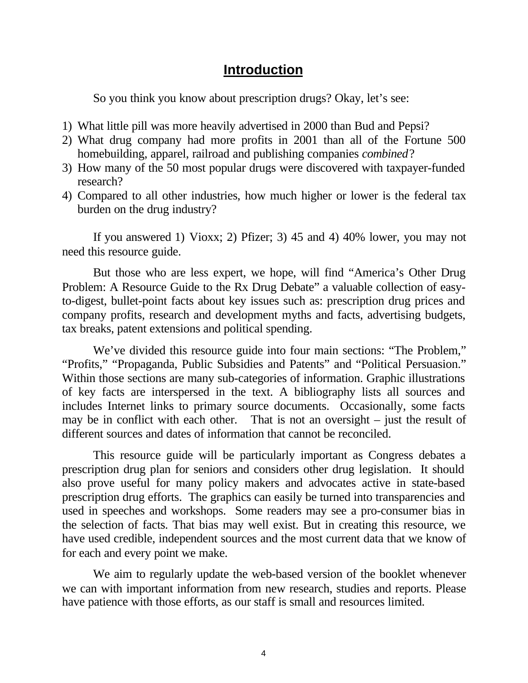#### **Introduction**

So you think you know about prescription drugs? Okay, let's see:

- 1) What little pill was more heavily advertised in 2000 than Bud and Pepsi?
- 2) What drug company had more profits in 2001 than all of the Fortune 500 homebuilding, apparel, railroad and publishing companies *combined*?
- 3) How many of the 50 most popular drugs were discovered with taxpayer-funded research?
- 4) Compared to all other industries, how much higher or lower is the federal tax burden on the drug industry?

If you answered 1) Vioxx; 2) Pfizer; 3) 45 and 4) 40% lower, you may not need this resource guide.

But those who are less expert, we hope, will find "America's Other Drug Problem: A Resource Guide to the Rx Drug Debate" a valuable collection of easyto-digest, bullet-point facts about key issues such as: prescription drug prices and company profits, research and development myths and facts, advertising budgets, tax breaks, patent extensions and political spending.

We've divided this resource guide into four main sections: "The Problem," "Profits," "Propaganda, Public Subsidies and Patents" and "Political Persuasion." Within those sections are many sub-categories of information. Graphic illustrations of key facts are interspersed in the text. A bibliography lists all sources and includes Internet links to primary source documents. Occasionally, some facts may be in conflict with each other. That is not an oversight – just the result of different sources and dates of information that cannot be reconciled.

This resource guide will be particularly important as Congress debates a prescription drug plan for seniors and considers other drug legislation. It should also prove useful for many policy makers and advocates active in state-based prescription drug efforts. The graphics can easily be turned into transparencies and used in speeches and workshops. Some readers may see a pro-consumer bias in the selection of facts. That bias may well exist. But in creating this resource, we have used credible, independent sources and the most current data that we know of for each and every point we make.

We aim to regularly update the web-based version of the booklet whenever we can with important information from new research, studies and reports. Please have patience with those efforts, as our staff is small and resources limited.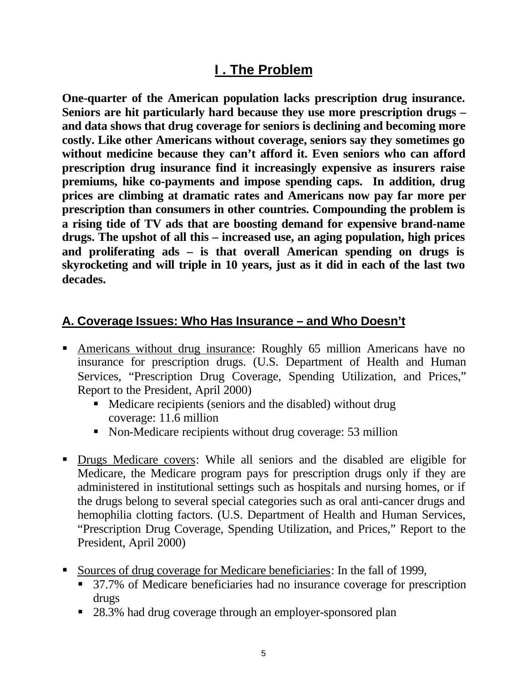# **I . The Problem**

**One-quarter of the American population lacks prescription drug insurance. Seniors are hit particularly hard because they use more prescription drugs – and data shows that drug coverage for seniors is declining and becoming more costly. Like other Americans without coverage, seniors say they sometimes go without medicine because they can't afford it. Even seniors who can afford prescription drug insurance find it increasingly expensive as insurers raise premiums, hike co-payments and impose spending caps. In addition, drug prices are climbing at dramatic rates and Americans now pay far more per prescription than consumers in other countries. Compounding the problem is a rising tide of TV ads that are boosting demand for expensive brand-name drugs. The upshot of all this – increased use, an aging population, high prices and proliferating ads – is that overall American spending on drugs is skyrocketing and will triple in 10 years, just as it did in each of the last two decades.**

# **A. Coverage Issues: Who Has Insurance – and Who Doesn't**

- ß Americans without drug insurance: Roughly 65 million Americans have no insurance for prescription drugs. (U.S. Department of Health and Human Services, "Prescription Drug Coverage, Spending Utilization, and Prices," Report to the President, April 2000)
	- Medicare recipients (seniors and the disabled) without drug coverage: 11.6 million
	- Non-Medicare recipients without drug coverage: 53 million
- ß Drugs Medicare covers: While all seniors and the disabled are eligible for Medicare, the Medicare program pays for prescription drugs only if they are administered in institutional settings such as hospitals and nursing homes, or if the drugs belong to several special categories such as oral anti-cancer drugs and hemophilia clotting factors. (U.S. Department of Health and Human Services, "Prescription Drug Coverage, Spending Utilization, and Prices," Report to the President, April 2000)
- ß Sources of drug coverage for Medicare beneficiaries: In the fall of 1999,
	- **B** 37.7% of Medicare beneficiaries had no insurance coverage for prescription drugs
	- 28.3% had drug coverage through an employer-sponsored plan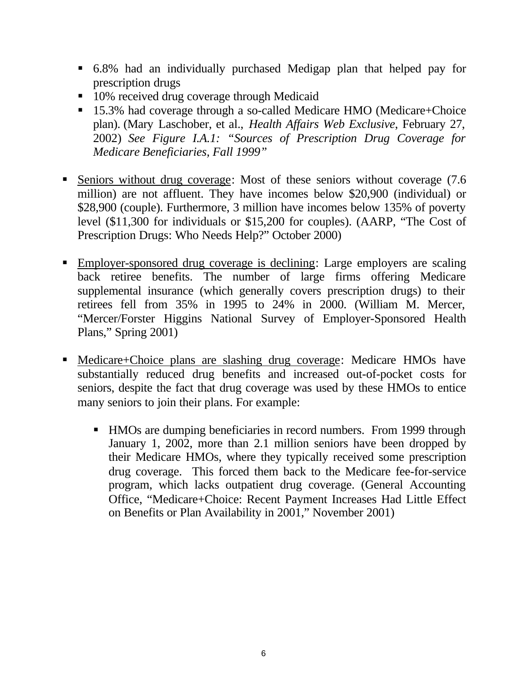- ß 6.8% had an individually purchased Medigap plan that helped pay for prescription drugs
- 10% received drug coverage through Medicaid
- 15.3% had coverage through a so-called Medicare HMO (Medicare+Choice plan). (Mary Laschober, et al., *Health Affairs Web Exclusive*, February 27, 2002) *See Figure I.A.1: "Sources of Prescription Drug Coverage for Medicare Beneficiaries, Fall 1999"*
- Seniors without drug coverage: Most of these seniors without coverage (7.6) million) are not affluent. They have incomes below \$20,900 (individual) or \$28,900 (couple). Furthermore, 3 million have incomes below 135% of poverty level (\$11,300 for individuals or \$15,200 for couples). (AARP, "The Cost of Prescription Drugs: Who Needs Help?" October 2000)
- ß Employer-sponsored drug coverage is declining: Large employers are scaling back retiree benefits. The number of large firms offering Medicare supplemental insurance (which generally covers prescription drugs) to their retirees fell from 35% in 1995 to 24% in 2000. (William M. Mercer, "Mercer/Forster Higgins National Survey of Employer-Sponsored Health Plans," Spring 2001)
- Medicare+Choice plans are slashing drug coverage: Medicare HMOs have substantially reduced drug benefits and increased out-of-pocket costs for seniors, despite the fact that drug coverage was used by these HMOs to entice many seniors to join their plans. For example:
	- HMOs are dumping beneficiaries in record numbers. From 1999 through January 1, 2002, more than 2.1 million seniors have been dropped by their Medicare HMOs, where they typically received some prescription drug coverage. This forced them back to the Medicare fee-for-service program, which lacks outpatient drug coverage. (General Accounting Office, "Medicare+Choice: Recent Payment Increases Had Little Effect on Benefits or Plan Availability in 2001," November 2001)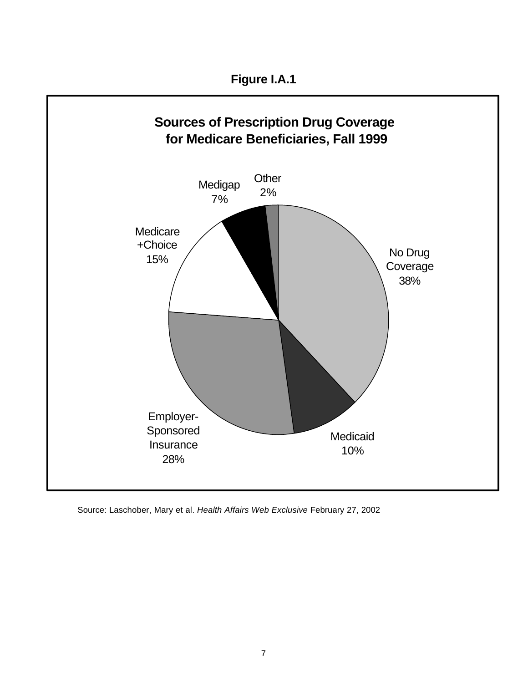

Source: Laschober, Mary et al. *Health Affairs Web Exclusive* February 27, 2002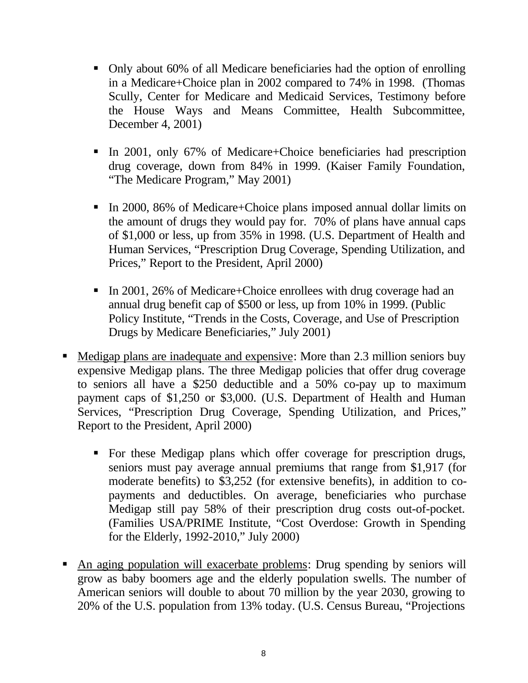- Only about 60% of all Medicare beneficiaries had the option of enrolling in a Medicare+Choice plan in 2002 compared to 74% in 1998. (Thomas Scully, Center for Medicare and Medicaid Services, Testimony before the House Ways and Means Committee, Health Subcommittee, December 4, 2001)
- In 2001, only 67% of Medicare+Choice beneficiaries had prescription drug coverage, down from 84% in 1999. (Kaiser Family Foundation, "The Medicare Program," May 2001)
- In 2000, 86% of Medicare+Choice plans imposed annual dollar limits on the amount of drugs they would pay for. 70% of plans have annual caps of \$1,000 or less, up from 35% in 1998. (U.S. Department of Health and Human Services, "Prescription Drug Coverage, Spending Utilization, and Prices," Report to the President, April 2000)
- In 2001, 26% of Medicare+Choice enrollees with drug coverage had an annual drug benefit cap of \$500 or less, up from 10% in 1999. (Public Policy Institute, "Trends in the Costs, Coverage, and Use of Prescription Drugs by Medicare Beneficiaries," July 2001)
- Medigap plans are inadequate and expensive: More than 2.3 million seniors buy expensive Medigap plans. The three Medigap policies that offer drug coverage to seniors all have a \$250 deductible and a 50% co-pay up to maximum payment caps of \$1,250 or \$3,000. (U.S. Department of Health and Human Services, "Prescription Drug Coverage, Spending Utilization, and Prices," Report to the President, April 2000)
	- For these Medigap plans which offer coverage for prescription drugs, seniors must pay average annual premiums that range from \$1,917 (for moderate benefits) to \$3,252 (for extensive benefits), in addition to copayments and deductibles. On average, beneficiaries who purchase Medigap still pay 58% of their prescription drug costs out-of-pocket. (Families USA/PRIME Institute, "Cost Overdose: Growth in Spending for the Elderly, 1992-2010," July 2000)
- An aging population will exacerbate problems: Drug spending by seniors will grow as baby boomers age and the elderly population swells. The number of American seniors will double to about 70 million by the year 2030, growing to 20% of the U.S. population from 13% today. (U.S. Census Bureau, "Projections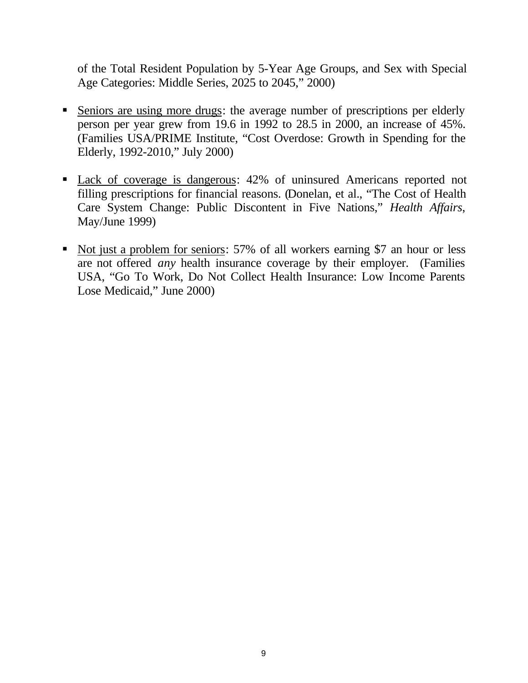of the Total Resident Population by 5-Year Age Groups, and Sex with Special Age Categories: Middle Series, 2025 to 2045," 2000)

- Seniors are using more drugs: the average number of prescriptions per elderly person per year grew from 19.6 in 1992 to 28.5 in 2000, an increase of 45%. (Families USA/PRIME Institute, "Cost Overdose: Growth in Spending for the Elderly, 1992-2010," July 2000)
- Lack of coverage is dangerous: 42% of uninsured Americans reported not filling prescriptions for financial reasons. (Donelan, et al., "The Cost of Health Care System Change: Public Discontent in Five Nations," *Health Affairs*, May/June 1999)
- Not just a problem for seniors: 57% of all workers earning \$7 an hour or less are not offered *any* health insurance coverage by their employer. (Families USA, "Go To Work, Do Not Collect Health Insurance: Low Income Parents Lose Medicaid," June 2000)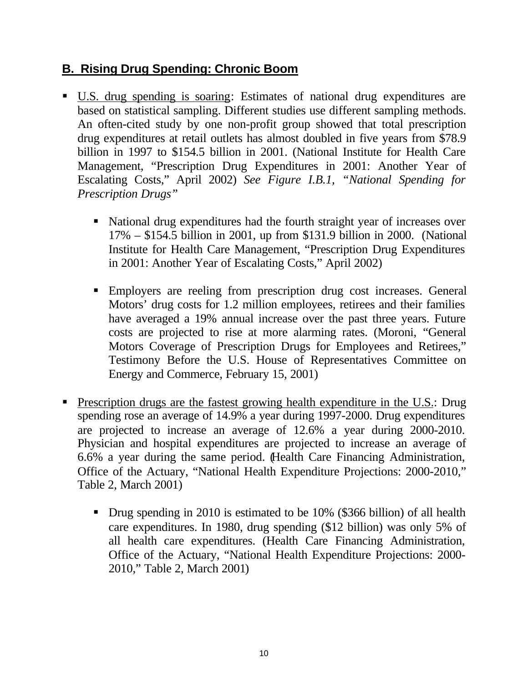# **B. Rising Drug Spending: Chronic Boom**

- ß U.S. drug spending is soaring: Estimates of national drug expenditures are based on statistical sampling. Different studies use different sampling methods. An often-cited study by one non-profit group showed that total prescription drug expenditures at retail outlets has almost doubled in five years from \$78.9 billion in 1997 to \$154.5 billion in 2001. (National Institute for Health Care Management, "Prescription Drug Expenditures in 2001: Another Year of Escalating Costs," April 2002) *See Figure I.B.1, "National Spending for Prescription Drugs"*
	- National drug expenditures had the fourth straight year of increases over 17% – \$154.5 billion in 2001, up from \$131.9 billion in 2000. (National Institute for Health Care Management, "Prescription Drug Expenditures in 2001: Another Year of Escalating Costs," April 2002)
	- ß Employers are reeling from prescription drug cost increases. General Motors' drug costs for 1.2 million employees, retirees and their families have averaged a 19% annual increase over the past three years. Future costs are projected to rise at more alarming rates. (Moroni, "General Motors Coverage of Prescription Drugs for Employees and Retirees," Testimony Before the U.S. House of Representatives Committee on Energy and Commerce, February 15, 2001)
- **Prescription drugs are the fastest growing health expenditure in the U.S.: Drug** spending rose an average of 14.9% a year during 1997-2000. Drug expenditures are projected to increase an average of 12.6% a year during 2000-2010. Physician and hospital expenditures are projected to increase an average of 6.6% a year during the same period. (Health Care Financing Administration, Office of the Actuary, "National Health Expenditure Projections: 2000-2010," Table 2, March 2001)
	- Drug spending in 2010 is estimated to be 10% (\$366 billion) of all health care expenditures. In 1980, drug spending (\$12 billion) was only 5% of all health care expenditures. (Health Care Financing Administration, Office of the Actuary, "National Health Expenditure Projections: 2000- 2010," Table 2, March 2001)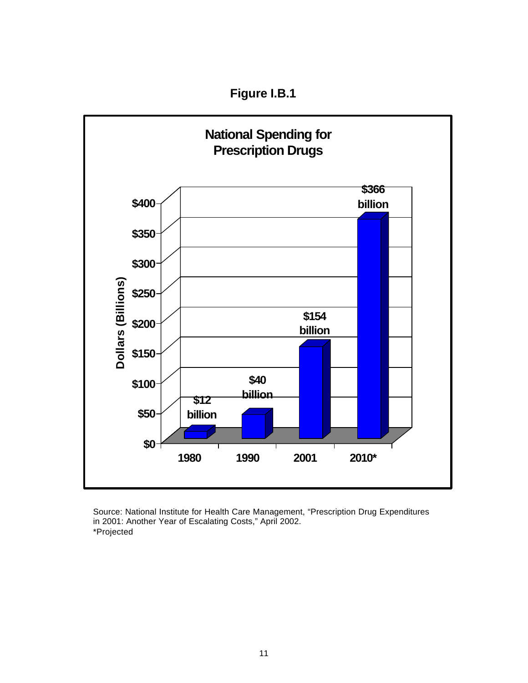**Figure I.B.1**



Source: National Institute for Health Care Management, "Prescription Drug Expenditures in 2001: Another Year of Escalating Costs," April 2002. \*Projected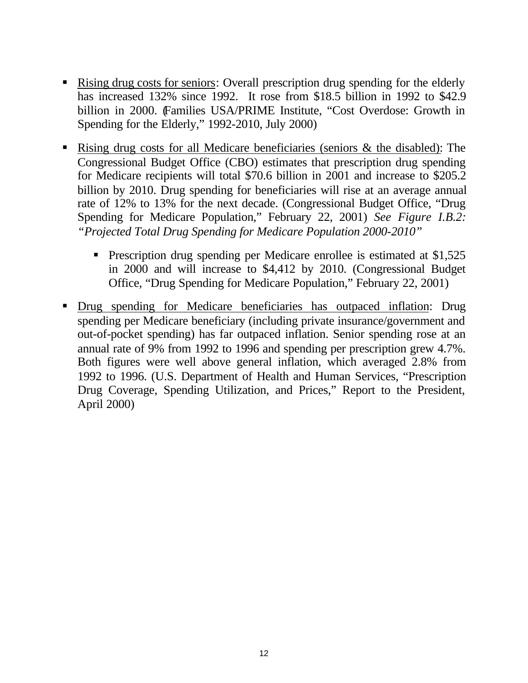- Rising drug costs for seniors: Overall prescription drug spending for the elderly has increased 132% since 1992. It rose from \$18.5 billion in 1992 to \$42.9 billion in 2000. Families USA/PRIME Institute, "Cost Overdose: Growth in Spending for the Elderly," 1992-2010, July 2000)
- Rising drug costs for all Medicare beneficiaries (seniors  $\&$  the disabled): The Congressional Budget Office (CBO) estimates that prescription drug spending for Medicare recipients will total \$70.6 billion in 2001 and increase to \$205.2 billion by 2010. Drug spending for beneficiaries will rise at an average annual rate of 12% to 13% for the next decade. (Congressional Budget Office, "Drug Spending for Medicare Population," February 22, 2001) *See Figure I.B.2: "Projected Total Drug Spending for Medicare Population 2000-2010"*
	- Prescription drug spending per Medicare enrollee is estimated at \$1,525 in 2000 and will increase to \$4,412 by 2010. (Congressional Budget Office, "Drug Spending for Medicare Population," February 22, 2001)
- ß Drug spending for Medicare beneficiaries has outpaced inflation: Drug spending per Medicare beneficiary (including private insurance/government and out-of-pocket spending) has far outpaced inflation. Senior spending rose at an annual rate of 9% from 1992 to 1996 and spending per prescription grew 4.7%. Both figures were well above general inflation, which averaged 2.8% from 1992 to 1996. (U.S. Department of Health and Human Services, "Prescription Drug Coverage, Spending Utilization, and Prices," Report to the President, April 2000)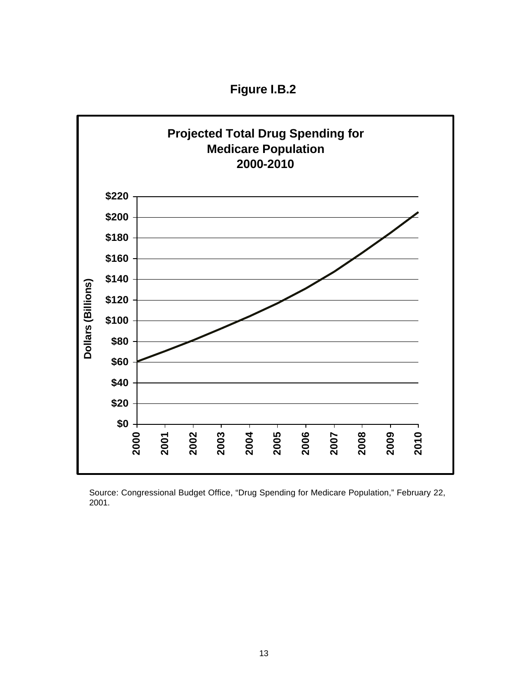**Figure I.B.2**



Source: Congressional Budget Office, "Drug Spending for Medicare Population," February 22, 2001.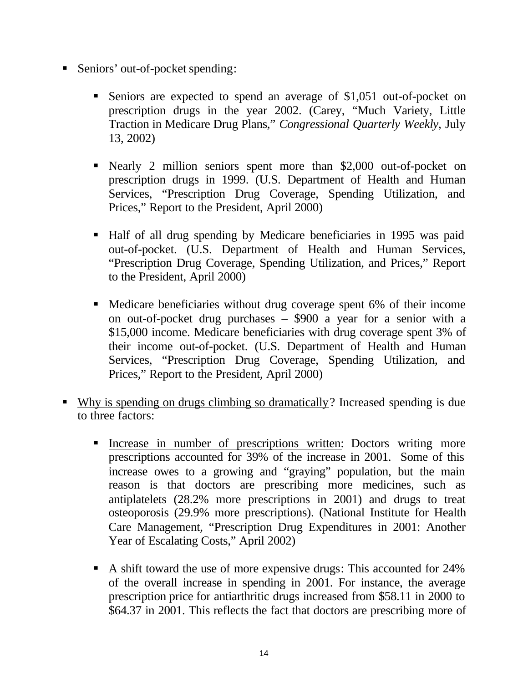- Seniors' out-of-pocket spending:
	- Seniors are expected to spend an average of \$1,051 out-of-pocket on prescription drugs in the year 2002. (Carey, "Much Variety, Little Traction in Medicare Drug Plans," *Congressional Quarterly Weekly*, July 13, 2002)
	- Nearly 2 million seniors spent more than \$2,000 out-of-pocket on prescription drugs in 1999. (U.S. Department of Health and Human Services, "Prescription Drug Coverage, Spending Utilization, and Prices," Report to the President, April 2000)
	- ß Half of all drug spending by Medicare beneficiaries in 1995 was paid out-of-pocket. (U.S. Department of Health and Human Services, "Prescription Drug Coverage, Spending Utilization, and Prices," Report to the President, April 2000)
	- Medicare beneficiaries without drug coverage spent 6% of their income on out-of-pocket drug purchases – \$900 a year for a senior with a \$15,000 income. Medicare beneficiaries with drug coverage spent 3% of their income out-of-pocket. (U.S. Department of Health and Human Services, "Prescription Drug Coverage, Spending Utilization, and Prices," Report to the President, April 2000)
- ß Why is spending on drugs climbing so dramatically? Increased spending is due to three factors:
	- **Increase in number of prescriptions written: Doctors writing more** prescriptions accounted for 39% of the increase in 2001. Some of this increase owes to a growing and "graying" population, but the main reason is that doctors are prescribing more medicines, such as antiplatelets (28.2% more prescriptions in 2001) and drugs to treat osteoporosis (29.9% more prescriptions). (National Institute for Health Care Management, "Prescription Drug Expenditures in 2001: Another Year of Escalating Costs," April 2002)
	- A shift toward the use of more expensive drugs: This accounted for 24% of the overall increase in spending in 2001. For instance, the average prescription price for antiarthritic drugs increased from \$58.11 in 2000 to \$64.37 in 2001. This reflects the fact that doctors are prescribing more of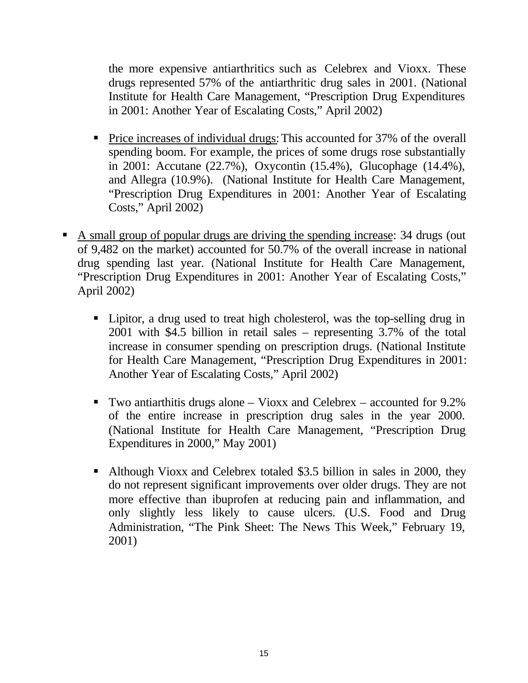the more expensive antiarthritics such as Celebrex and Vioxx. These drugs represented 57% of the antiarthritic drug sales in 2001. (National Institute for Health Care Management, "Prescription Drug Expenditures in 2001: Another Year of Escalating Costs," April 2002)

- Price increases of individual drugs: This accounted for 37% of the overall spending boom. For example, the prices of some drugs rose substantially in 2001: Accutane (22.7%), Oxycontin (15.4%), Glucophage (14.4%), and Allegra (10.9%). (National Institute for Health Care Management, "Prescription Drug Expenditures in 2001: Another Year of Escalating Costs," April 2002)
- A small group of popular drugs are driving the spending increase: 34 drugs (out of 9,482 on the market) accounted for 50.7% of the overall increase in national drug spending last year. (National Institute for Health Care Management, "Prescription Drug Expenditures in 2001: Another Year of Escalating Costs," April 2002)
	- Lipitor, a drug used to treat high cholesterol, was the top-selling drug in 2001 with \$4.5 billion in retail sales – representing 3.7% of the total increase in consumer spending on prescription drugs. (National Institute for Health Care Management, "Prescription Drug Expenditures in 2001: Another Year of Escalating Costs," April 2002)
	- $\blacksquare$  Two antiarthitis drugs alone Vioxx and Celebrex accounted for 9.2% of the entire increase in prescription drug sales in the year 2000. (National Institute for Health Care Management, "Prescription Drug Expenditures in 2000," May 2001)
	- Although Vioxx and Celebrex totaled \$3.5 billion in sales in 2000, they do not represent significant improvements over older drugs. They are not more effective than ibuprofen at reducing pain and inflammation, and only slightly less likely to cause ulcers. (U.S. Food and Drug Administration, "The Pink Sheet: The News This Week," February 19, 2001)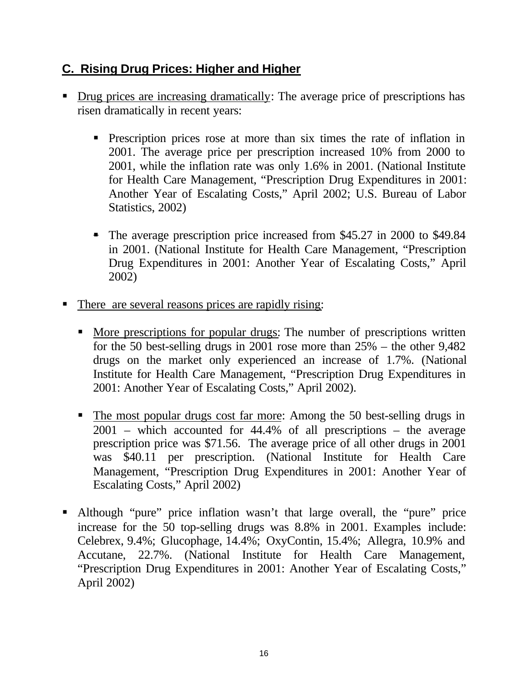## **C. Rising Drug Prices: Higher and Higher**

- Drug prices are increasing dramatically: The average price of prescriptions has risen dramatically in recent years:
	- **•** Prescription prices rose at more than six times the rate of inflation in 2001. The average price per prescription increased 10% from 2000 to 2001, while the inflation rate was only 1.6% in 2001. (National Institute for Health Care Management, "Prescription Drug Expenditures in 2001: Another Year of Escalating Costs," April 2002; U.S. Bureau of Labor Statistics, 2002)
	- The average prescription price increased from \$45.27 in 2000 to \$49.84 in 2001. (National Institute for Health Care Management, "Prescription Drug Expenditures in 2001: Another Year of Escalating Costs," April 2002)
- There are several reasons prices are rapidly rising:
	- More prescriptions for popular drugs: The number of prescriptions written for the 50 best-selling drugs in 2001 rose more than 25% – the other 9,482 drugs on the market only experienced an increase of 1.7%. (National Institute for Health Care Management, "Prescription Drug Expenditures in 2001: Another Year of Escalating Costs," April 2002).
	- The most popular drugs cost far more: Among the 50 best-selling drugs in 2001 – which accounted for 44.4% of all prescriptions – the average prescription price was \$71.56. The average price of all other drugs in 2001 was \$40.11 per prescription. (National Institute for Health Care Management, "Prescription Drug Expenditures in 2001: Another Year of Escalating Costs," April 2002)
- ß Although "pure" price inflation wasn't that large overall, the "pure" price increase for the 50 top-selling drugs was 8.8% in 2001. Examples include: Celebrex, 9.4%; Glucophage, 14.4%; OxyContin, 15.4%; Allegra, 10.9% and Accutane, 22.7%. (National Institute for Health Care Management, "Prescription Drug Expenditures in 2001: Another Year of Escalating Costs," April 2002)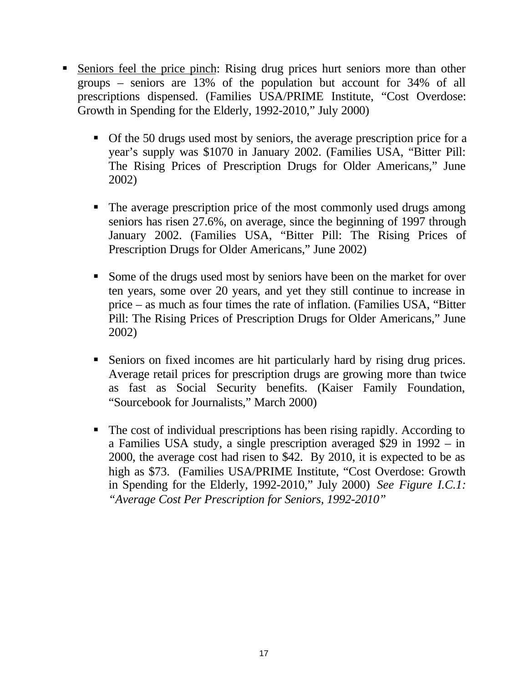- ß Seniors feel the price pinch: Rising drug prices hurt seniors more than other groups – seniors are 13% of the population but account for 34% of all prescriptions dispensed. (Families USA/PRIME Institute, "Cost Overdose: Growth in Spending for the Elderly, 1992-2010," July 2000)
	- Of the 50 drugs used most by seniors, the average prescription price for a year's supply was \$1070 in January 2002. (Families USA, "Bitter Pill: The Rising Prices of Prescription Drugs for Older Americans," June 2002)
	- The average prescription price of the most commonly used drugs among seniors has risen 27.6%, on average, since the beginning of 1997 through January 2002. (Families USA, "Bitter Pill: The Rising Prices of Prescription Drugs for Older Americans," June 2002)
	- Some of the drugs used most by seniors have been on the market for over ten years, some over 20 years, and yet they still continue to increase in price – as much as four times the rate of inflation. (Families USA, "Bitter Pill: The Rising Prices of Prescription Drugs for Older Americans," June 2002)
	- ß Seniors on fixed incomes are hit particularly hard by rising drug prices. Average retail prices for prescription drugs are growing more than twice as fast as Social Security benefits. (Kaiser Family Foundation, "Sourcebook for Journalists," March 2000)
	- The cost of individual prescriptions has been rising rapidly. According to a Families USA study, a single prescription averaged \$29 in 1992 – in 2000, the average cost had risen to \$42. By 2010, it is expected to be as high as \$73. (Families USA/PRIME Institute, "Cost Overdose: Growth in Spending for the Elderly, 1992-2010," July 2000) *See Figure I.C.1: "Average Cost Per Prescription for Seniors, 1992-2010"*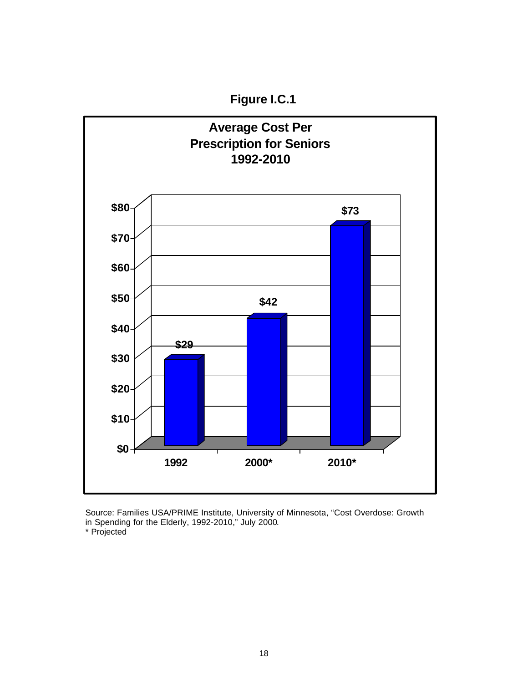**Figure I.C.1**



Source: Families USA/PRIME Institute, University of Minnesota, "Cost Overdose: Growth in Spending for the Elderly, 1992-2010," July 2000.

\* Projected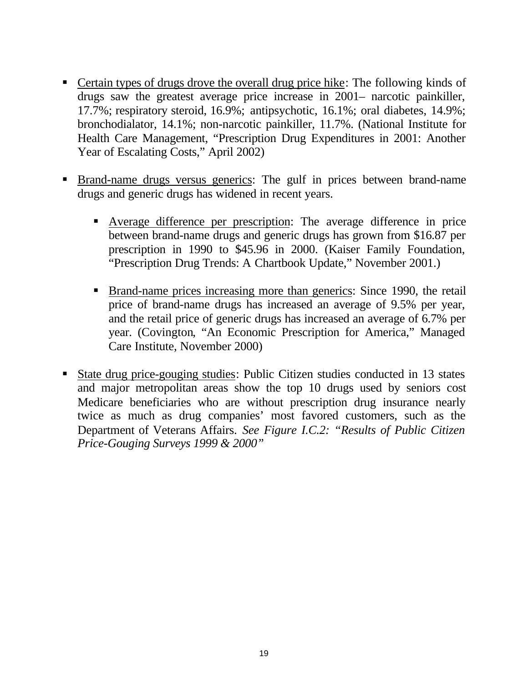- Certain types of drugs drove the overall drug price hike: The following kinds of drugs saw the greatest average price increase in 2001– narcotic painkiller, 17.7%; respiratory steroid, 16.9%; antipsychotic, 16.1%; oral diabetes, 14.9%; bronchodialator, 14.1%; non-narcotic painkiller, 11.7%. (National Institute for Health Care Management, "Prescription Drug Expenditures in 2001: Another Year of Escalating Costs," April 2002)
- ß Brand-name drugs versus generics: The gulf in prices between brand-name drugs and generic drugs has widened in recent years.
	- ß Average difference per prescription: The average difference in price between brand-name drugs and generic drugs has grown from \$16.87 per prescription in 1990 to \$45.96 in 2000. (Kaiser Family Foundation, "Prescription Drug Trends: A Chartbook Update," November 2001.)
	- **Brand-name prices increasing more than generics: Since 1990, the retail** price of brand-name drugs has increased an average of 9.5% per year, and the retail price of generic drugs has increased an average of 6.7% per year. (Covington, "An Economic Prescription for America," Managed Care Institute, November 2000)
- State drug price-gouging studies: Public Citizen studies conducted in 13 states and major metropolitan areas show the top 10 drugs used by seniors cost Medicare beneficiaries who are without prescription drug insurance nearly twice as much as drug companies' most favored customers, such as the Department of Veterans Affairs. *See Figure I.C.2: "Results of Public Citizen Price-Gouging Surveys 1999 & 2000"*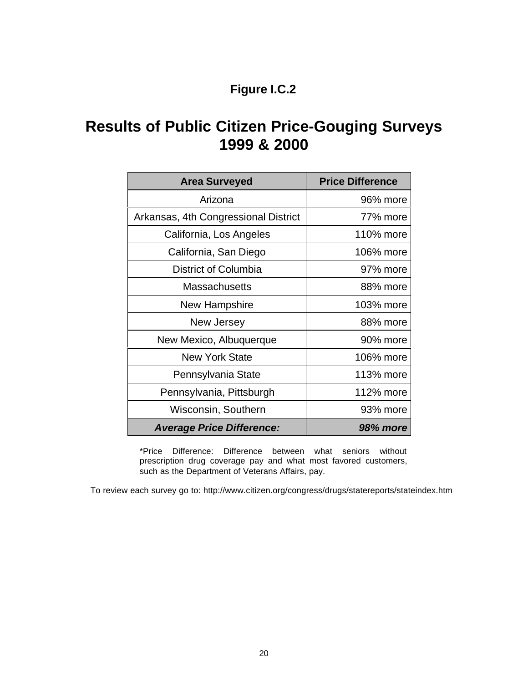# **Figure I.C.2**

# **Results of Public Citizen Price-Gouging Surveys 1999 & 2000**

| <b>Area Surveyed</b>                 | <b>Price Difference</b> |
|--------------------------------------|-------------------------|
| Arizona                              | 96% more                |
| Arkansas, 4th Congressional District | 77% more                |
| California, Los Angeles              | 110% more               |
| California, San Diego                | 106% more               |
| District of Columbia                 | 97% more                |
| <b>Massachusetts</b>                 | 88% more                |
| New Hampshire                        | 103% more               |
| New Jersey                           | 88% more                |
| New Mexico, Albuquerque              | 90% more                |
| <b>New York State</b>                | 106% more               |
| Pennsylvania State                   | 113% more               |
| Pennsylvania, Pittsburgh             | 112% more               |
| Wisconsin, Southern                  | 93% more                |
| <b>Average Price Difference:</b>     | 98% more                |

\*Price Difference: Difference between what seniors without prescription drug coverage pay and what most favored customers, such as the Department of Veterans Affairs, pay.

To review each survey go to: <http://www.citizen.org/congress/drugs/statereports/stateindex.htm>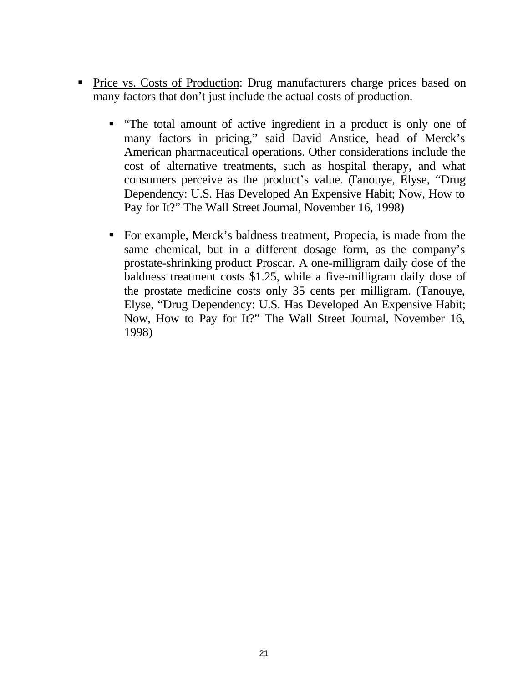- Price vs. Costs of Production: Drug manufacturers charge prices based on many factors that don't just include the actual costs of production.
	- "The total amount of active ingredient in a product is only one of many factors in pricing," said David Anstice, head of Merck's American pharmaceutical operations. Other considerations include the cost of alternative treatments, such as hospital therapy, and what consumers perceive as the product's value. (Tanouye, Elyse, "Drug Dependency: U.S. Has Developed An Expensive Habit; Now, How to Pay for It?" The Wall Street Journal, November 16, 1998)
	- For example, Merck's baldness treatment, Propecia, is made from the same chemical, but in a different dosage form, as the company's prostate-shrinking product Proscar. A one-milligram daily dose of the baldness treatment costs \$1.25, while a five-milligram daily dose of the prostate medicine costs only 35 cents per milligram. (Tanouye, Elyse, "Drug Dependency: U.S. Has Developed An Expensive Habit; Now, How to Pay for It?" The Wall Street Journal, November 16, 1998)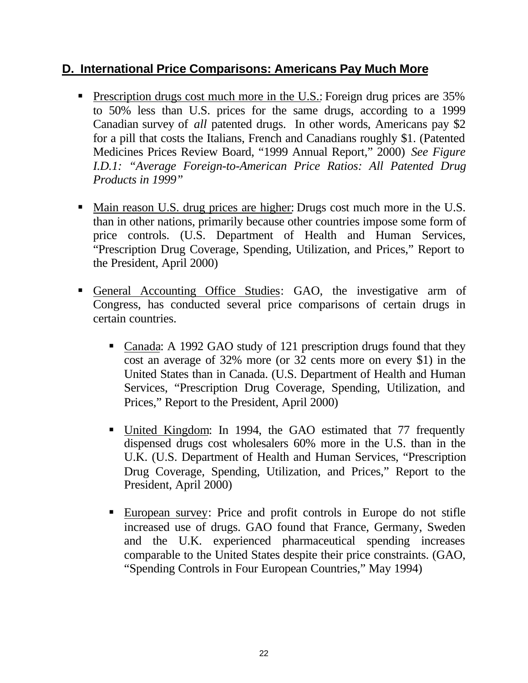#### **D. International Price Comparisons: Americans Pay Much More**

- **Prescription drugs cost much more in the U.S.: Foreign drug prices are 35%** to 50% less than U.S. prices for the same drugs, according to a 1999 Canadian survey of *all* patented drugs. In other words, Americans pay \$2 for a pill that costs the Italians, French and Canadians roughly \$1. (Patented Medicines Prices Review Board, "1999 Annual Report," 2000) *See Figure I.D.1: "Average Foreign-to-American Price Ratios: All Patented Drug Products in 1999"*
- Main reason U.S. drug prices are higher: Drugs cost much more in the U.S. than in other nations, primarily because other countries impose some form of price controls. (U.S. Department of Health and Human Services, "Prescription Drug Coverage, Spending, Utilization, and Prices," Report to the President, April 2000)
- ß General Accounting Office Studies: GAO, the investigative arm of Congress, has conducted several price comparisons of certain drugs in certain countries.
	- Canada: A 1992 GAO study of 121 prescription drugs found that they cost an average of 32% more (or 32 cents more on every \$1) in the United States than in Canada. (U.S. Department of Health and Human Services, "Prescription Drug Coverage, Spending, Utilization, and Prices," Report to the President, April 2000)
	- United Kingdom: In 1994, the GAO estimated that 77 frequently dispensed drugs cost wholesalers 60% more in the U.S. than in the U.K. (U.S. Department of Health and Human Services, "Prescription Drug Coverage, Spending, Utilization, and Prices," Report to the President, April 2000)
	- ß European survey: Price and profit controls in Europe do not stifle increased use of drugs. GAO found that France, Germany, Sweden and the U.K. experienced pharmaceutical spending increases comparable to the United States despite their price constraints. (GAO, "Spending Controls in Four European Countries," May 1994)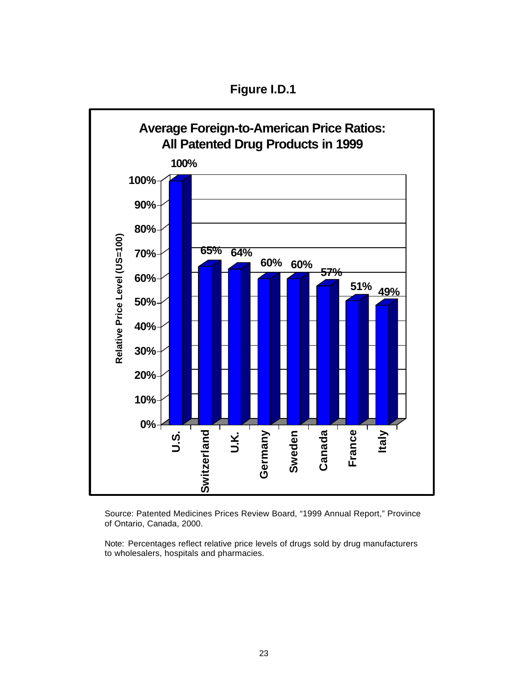



Source: Patented Medicines Prices Review Board, "1999 Annual Report," Province of Ontario, Canada, 2000.

Note: Percentages reflect relative price levels of drugs sold by drug manufacturers to wholesalers, hospitals and pharmacies.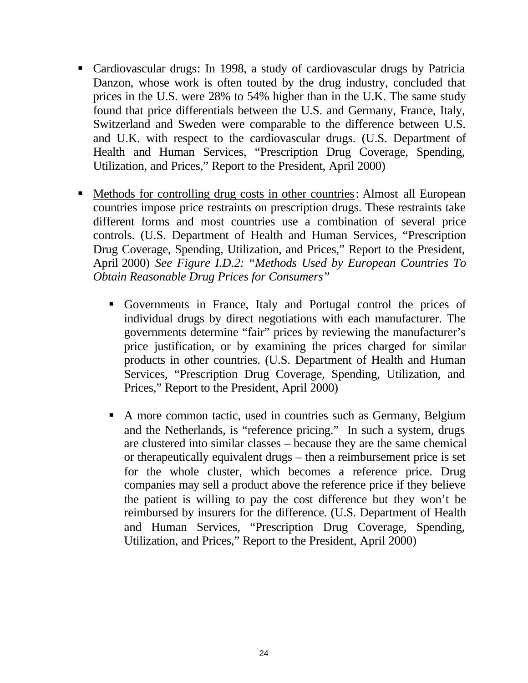- Cardiovascular drugs: In 1998, a study of cardiovascular drugs by Patricia Danzon, whose work is often touted by the drug industry, concluded that prices in the U.S. were 28% to 54% higher than in the U.K. The same study found that price differentials between the U.S. and Germany, France, Italy, Switzerland and Sweden were comparable to the difference between U.S. and U.K. with respect to the cardiovascular drugs. (U.S. Department of Health and Human Services, "Prescription Drug Coverage, Spending, Utilization, and Prices," Report to the President, April 2000)
- Methods for controlling drug costs in other countries: Almost all European countries impose price restraints on prescription drugs. These restraints take different forms and most countries use a combination of several price controls. (U.S. Department of Health and Human Services, "Prescription Drug Coverage, Spending, Utilization, and Prices," Report to the President, April 2000) *See Figure I.D.2: "Methods Used by European Countries To Obtain Reasonable Drug Prices for Consumers"*
	- ß Governments in France, Italy and Portugal control the prices of individual drugs by direct negotiations with each manufacturer. The governments determine "fair" prices by reviewing the manufacturer's price justification, or by examining the prices charged for similar products in other countries. (U.S. Department of Health and Human Services, "Prescription Drug Coverage, Spending, Utilization, and Prices," Report to the President, April 2000)
	- A more common tactic, used in countries such as Germany, Belgium and the Netherlands, is "reference pricing." In such a system, drugs are clustered into similar classes – because they are the same chemical or therapeutically equivalent drugs – then a reimbursement price is set for the whole cluster, which becomes a reference price. Drug companies may sell a product above the reference price if they believe the patient is willing to pay the cost difference but they won't be reimbursed by insurers for the difference. (U.S. Department of Health and Human Services, "Prescription Drug Coverage, Spending, Utilization, and Prices," Report to the President, April 2000)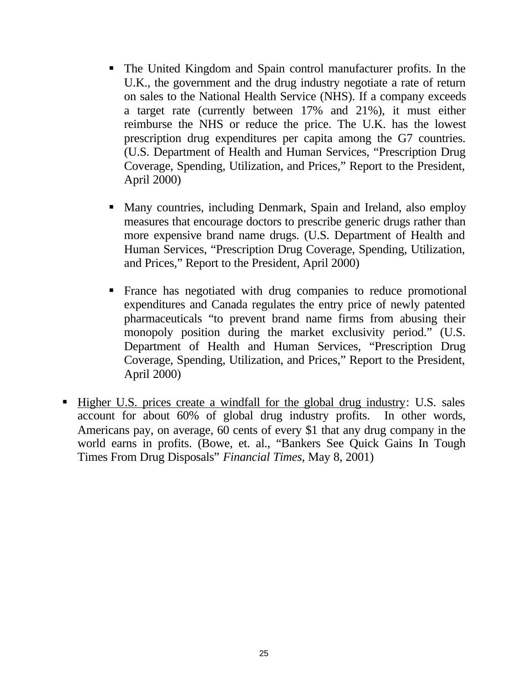- The United Kingdom and Spain control manufacturer profits. In the U.K., the government and the drug industry negotiate a rate of return on sales to the National Health Service (NHS). If a company exceeds a target rate (currently between 17% and 21%), it must either reimburse the NHS or reduce the price. The U.K. has the lowest prescription drug expenditures per capita among the G7 countries. (U.S. Department of Health and Human Services, "Prescription Drug Coverage, Spending, Utilization, and Prices," Report to the President, April 2000)
- Many countries, including Denmark, Spain and Ireland, also employ measures that encourage doctors to prescribe generic drugs rather than more expensive brand name drugs. (U.S. Department of Health and Human Services, "Prescription Drug Coverage, Spending, Utilization, and Prices," Report to the President, April 2000)
- ß France has negotiated with drug companies to reduce promotional expenditures and Canada regulates the entry price of newly patented pharmaceuticals "to prevent brand name firms from abusing their monopoly position during the market exclusivity period." (U.S. Department of Health and Human Services, "Prescription Drug Coverage, Spending, Utilization, and Prices," Report to the President, April 2000)
- ß Higher U.S. prices create a windfall for the global drug industry: U.S. sales account for about 60% of global drug industry profits. In other words, Americans pay, on average, 60 cents of every \$1 that any drug company in the world earns in profits. (Bowe, et. al., "Bankers See Quick Gains In Tough Times From Drug Disposals" *Financial Times*, May 8, 2001)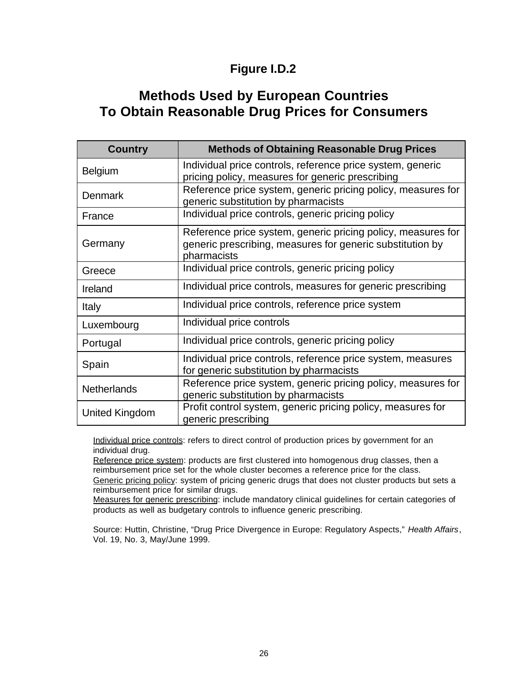## **Figure I.D.2**

# **Methods Used by European Countries To Obtain Reasonable Drug Prices for Consumers**

| <b>Country</b>     | <b>Methods of Obtaining Reasonable Drug Prices</b>                                                                                       |
|--------------------|------------------------------------------------------------------------------------------------------------------------------------------|
| <b>Belgium</b>     | Individual price controls, reference price system, generic<br>pricing policy, measures for generic prescribing                           |
| <b>Denmark</b>     | Reference price system, generic pricing policy, measures for<br>generic substitution by pharmacists                                      |
| France             | Individual price controls, generic pricing policy                                                                                        |
| Germany            | Reference price system, generic pricing policy, measures for<br>generic prescribing, measures for generic substitution by<br>pharmacists |
| Greece             | Individual price controls, generic pricing policy                                                                                        |
| Ireland            | Individual price controls, measures for generic prescribing                                                                              |
| <b>Italy</b>       | Individual price controls, reference price system                                                                                        |
| Luxembourg         | Individual price controls                                                                                                                |
| Portugal           | Individual price controls, generic pricing policy                                                                                        |
| Spain              | Individual price controls, reference price system, measures<br>for generic substitution by pharmacists                                   |
| <b>Netherlands</b> | Reference price system, generic pricing policy, measures for<br>generic substitution by pharmacists                                      |
| United Kingdom     | Profit control system, generic pricing policy, measures for<br>generic prescribing                                                       |

Individual price controls: refers to direct control of production prices by government for an individual drug.

Reference price system: products are first clustered into homogenous drug classes, then a reimbursement price set for the whole cluster becomes a reference price for the class. Generic pricing policy: system of pricing generic drugs that does not cluster products but sets a reimbursement price for similar drugs.

Measures for generic prescribing: include mandatory clinical guidelines for certain categories of products as well as budgetary controls to influence generic prescribing.

Source: Huttin, Christine, "Drug Price Divergence in Europe: Regulatory Aspects," *Health Affairs*, Vol. 19, No. 3, May/June 1999.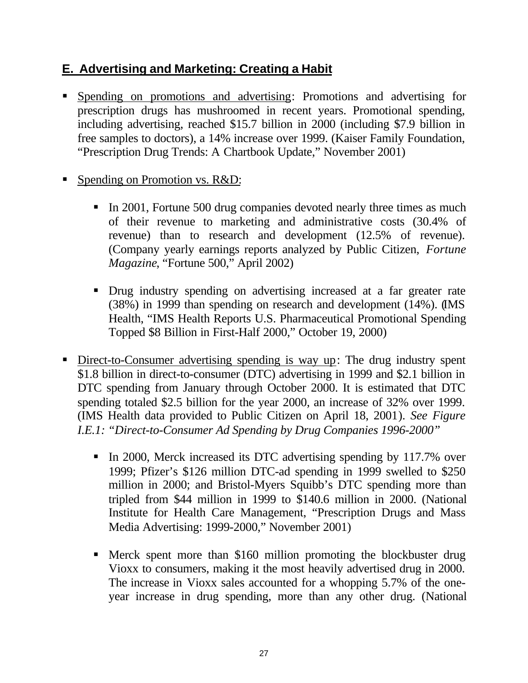# **E. Advertising and Marketing: Creating a Habit**

- ß Spending on promotions and advertising: Promotions and advertising for prescription drugs has mushroomed in recent years. Promotional spending, including advertising, reached \$15.7 billion in 2000 (including \$7.9 billion in free samples to doctors), a 14% increase over 1999. (Kaiser Family Foundation, "Prescription Drug Trends: A Chartbook Update," November 2001)
- Spending on Promotion vs. R&D:
	- In 2001, Fortune 500 drug companies devoted nearly three times as much of their revenue to marketing and administrative costs (30.4% of revenue) than to research and development (12.5% of revenue). (Company yearly earnings reports analyzed by Public Citizen, *Fortune Magazine*, "Fortune 500," April 2002)
	- Drug industry spending on advertising increased at a far greater rate (38%) in 1999 than spending on research and development (14%). (IMS Health, "IMS Health Reports U.S. Pharmaceutical Promotional Spending Topped \$8 Billion in First-Half 2000," October 19, 2000)
- Direct-to-Consumer advertising spending is way up: The drug industry spent \$1.8 billion in direct-to-consumer (DTC) advertising in 1999 and \$2.1 billion in DTC spending from January through October 2000. It is estimated that DTC spending totaled \$2.5 billion for the year 2000, an increase of 32% over 1999. (IMS Health data provided to Public Citizen on April 18, 2001). *See Figure I.E.1: "Direct-to-Consumer Ad Spending by Drug Companies 1996-2000"*
	- In 2000, Merck increased its DTC advertising spending by 117.7% over 1999; Pfizer's \$126 million DTC-ad spending in 1999 swelled to \$250 million in 2000; and Bristol-Myers Squibb's DTC spending more than tripled from \$44 million in 1999 to \$140.6 million in 2000. (National Institute for Health Care Management, "Prescription Drugs and Mass Media Advertising: 1999-2000," November 2001)
	- Merck spent more than \$160 million promoting the blockbuster drug Vioxx to consumers, making it the most heavily advertised drug in 2000. The increase in Vioxx sales accounted for a whopping 5.7% of the oneyear increase in drug spending, more than any other drug. (National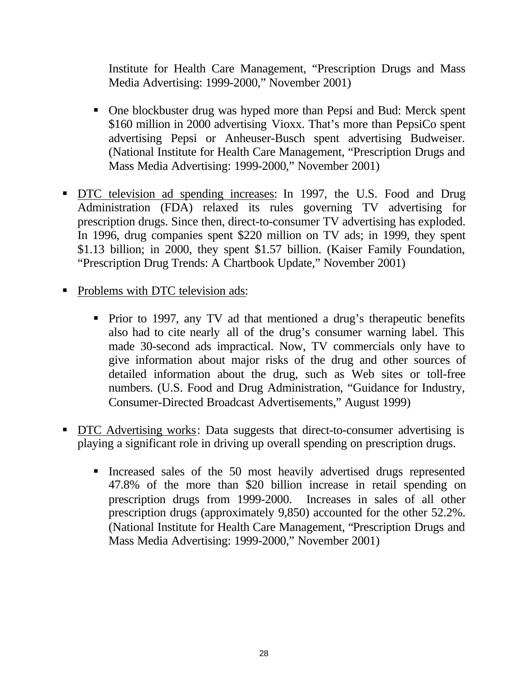Institute for Health Care Management, "Prescription Drugs and Mass Media Advertising: 1999-2000," November 2001)

- One blockbuster drug was hyped more than Pepsi and Bud: Merck spent \$160 million in 2000 advertising Vioxx. That's more than PepsiCo spent advertising Pepsi or Anheuser-Busch spent advertising Budweiser. (National Institute for Health Care Management, "Prescription Drugs and Mass Media Advertising: 1999-2000," November 2001)
- DTC television ad spending increases: In 1997, the U.S. Food and Drug Administration (FDA) relaxed its rules governing TV advertising for prescription drugs. Since then, direct-to-consumer TV advertising has exploded. In 1996, drug companies spent \$220 million on TV ads; in 1999, they spent \$1.13 billion; in 2000, they spent \$1.57 billion. (Kaiser Family Foundation, "Prescription Drug Trends: A Chartbook Update," November 2001)
- Problems with DTC television ads:
	- Prior to 1997, any TV ad that mentioned a drug's therapeutic benefits also had to cite nearly all of the drug's consumer warning label. This made 30-second ads impractical. Now, TV commercials only have to give information about major risks of the drug and other sources of detailed information about the drug, such as Web sites or toll-free numbers. (U.S. Food and Drug Administration, "Guidance for Industry, Consumer-Directed Broadcast Advertisements," August 1999)
- **DTC** Advertising works: Data suggests that direct-to-consumer advertising is playing a significant role in driving up overall spending on prescription drugs.
	- ß Increased sales of the 50 most heavily advertised drugs represented 47.8% of the more than \$20 billion increase in retail spending on prescription drugs from 1999-2000. Increases in sales of all other prescription drugs (approximately 9,850) accounted for the other 52.2%. (National Institute for Health Care Management, "Prescription Drugs and Mass Media Advertising: 1999-2000," November 2001)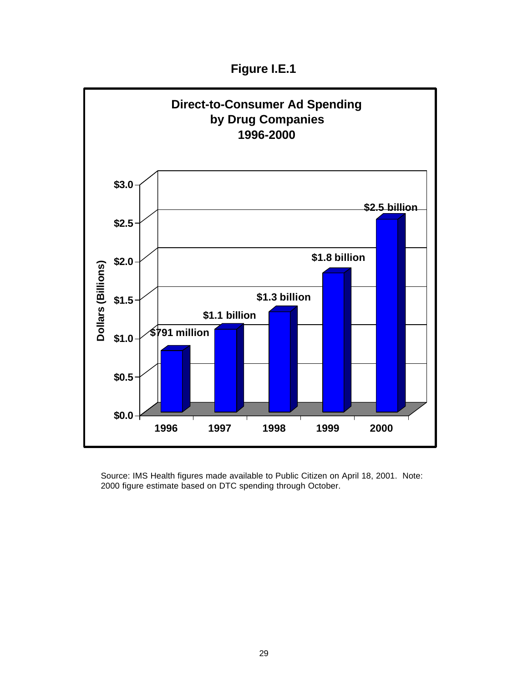**Figure I.E.1**



Source: IMS Health figures made available to Public Citizen on April 18, 2001. Note: 2000 figure estimate based on DTC spending through October.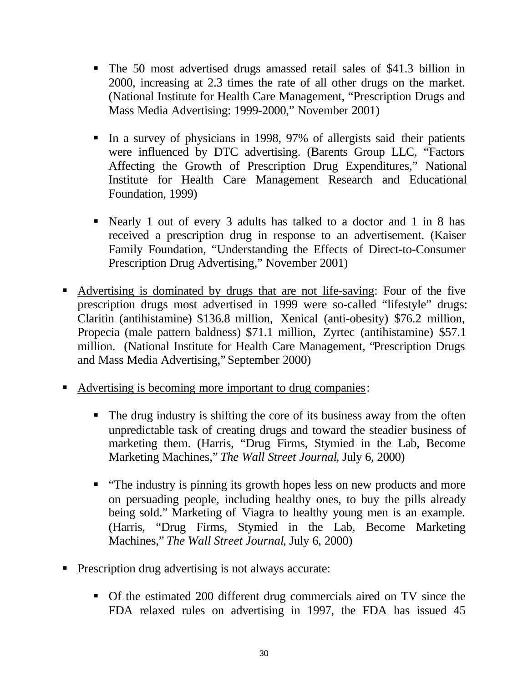- The 50 most advertised drugs amassed retail sales of \$41.3 billion in 2000, increasing at 2.3 times the rate of all other drugs on the market. (National Institute for Health Care Management, "Prescription Drugs and Mass Media Advertising: 1999-2000," November 2001)
- In a survey of physicians in 1998, 97% of allergists said their patients were influenced by DTC advertising. (Barents Group LLC, "Factors Affecting the Growth of Prescription Drug Expenditures," National Institute for Health Care Management Research and Educational Foundation, 1999)
- Nearly 1 out of every 3 adults has talked to a doctor and 1 in 8 has received a prescription drug in response to an advertisement. (Kaiser Family Foundation, "Understanding the Effects of Direct-to-Consumer Prescription Drug Advertising," November 2001)
- ß Advertising is dominated by drugs that are not life-saving: Four of the five prescription drugs most advertised in 1999 were so-called "lifestyle" drugs: Claritin (antihistamine) \$136.8 million, Xenical (anti-obesity) \$76.2 million, Propecia (male pattern baldness) \$71.1 million, Zyrtec (antihistamine) \$57.1 million. (National Institute for Health Care Management, "Prescription Drugs and Mass Media Advertising," September 2000)
- Advertising is becoming more important to drug companies:
	- The drug industry is shifting the core of its business away from the often unpredictable task of creating drugs and toward the steadier business of marketing them. (Harris, "Drug Firms, Stymied in the Lab, Become Marketing Machines," *The Wall Street Journal*, July 6, 2000)
	- "The industry is pinning its growth hopes less on new products and more on persuading people, including healthy ones, to buy the pills already being sold." Marketing of Viagra to healthy young men is an example. (Harris, "Drug Firms, Stymied in the Lab, Become Marketing Machines," *The Wall Street Journal*, July 6, 2000)
- ß Prescription drug advertising is not always accurate:
	- Of the estimated 200 different drug commercials aired on TV since the FDA relaxed rules on advertising in 1997, the FDA has issued 45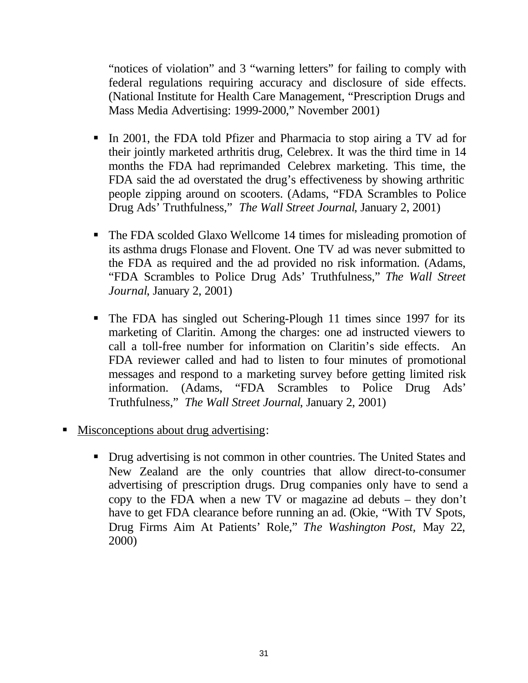"notices of violation" and 3 "warning letters" for failing to comply with federal regulations requiring accuracy and disclosure of side effects. (National Institute for Health Care Management, "Prescription Drugs and Mass Media Advertising: 1999-2000," November 2001)

- In 2001, the FDA told Pfizer and Pharmacia to stop airing a TV ad for their jointly marketed arthritis drug, Celebrex. It was the third time in 14 months the FDA had reprimanded Celebrex marketing. This time, the FDA said the ad overstated the drug's effectiveness by showing arthritic people zipping around on scooters. (Adams, "FDA Scrambles to Police Drug Ads' Truthfulness," *The Wall Street Journal*, January 2, 2001)
- The FDA scolded Glaxo Wellcome 14 times for misleading promotion of its asthma drugs Flonase and Flovent. One TV ad was never submitted to the FDA as required and the ad provided no risk information. (Adams, "FDA Scrambles to Police Drug Ads' Truthfulness," *The Wall Street Journal*, January 2, 2001)
- The FDA has singled out Schering-Plough 11 times since 1997 for its marketing of Claritin. Among the charges: one ad instructed viewers to call a toll-free number for information on Claritin's side effects. An FDA reviewer called and had to listen to four minutes of promotional messages and respond to a marketing survey before getting limited risk information. (Adams, "FDA Scrambles to Police Drug Ads' Truthfulness," *The Wall Street Journal*, January 2, 2001)
- Misconceptions about drug advertising:
	- Drug advertising is not common in other countries. The United States and New Zealand are the only countries that allow direct-to-consumer advertising of prescription drugs. Drug companies only have to send a copy to the FDA when a new TV or magazine ad debuts – they don't have to get FDA clearance before running an ad. (Okie, "With TV Spots, Drug Firms Aim At Patients' Role," *The Washington Post,* May 22, 2000)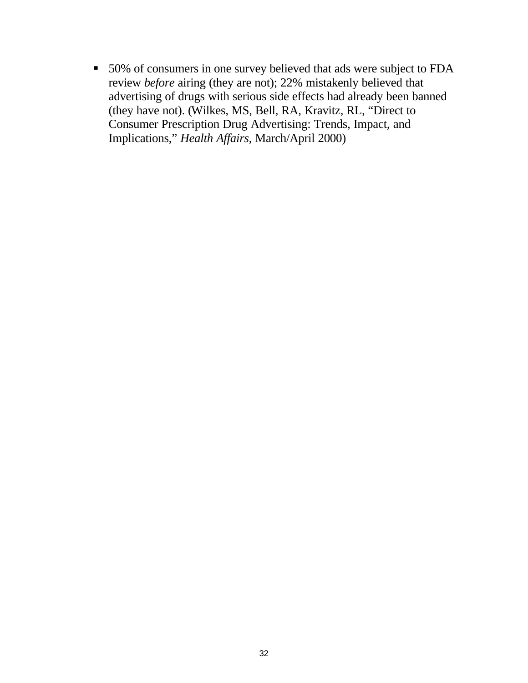**50%** of consumers in one survey believed that ads were subject to FDA review *before* airing (they are not); 22% mistakenly believed that advertising of drugs with serious side effects had already been banned (they have not). (Wilkes, MS, Bell, RA, Kravitz, RL, "Direct to Consumer Prescription Drug Advertising: Trends, Impact, and Implications," *Health Affairs*, March/April 2000)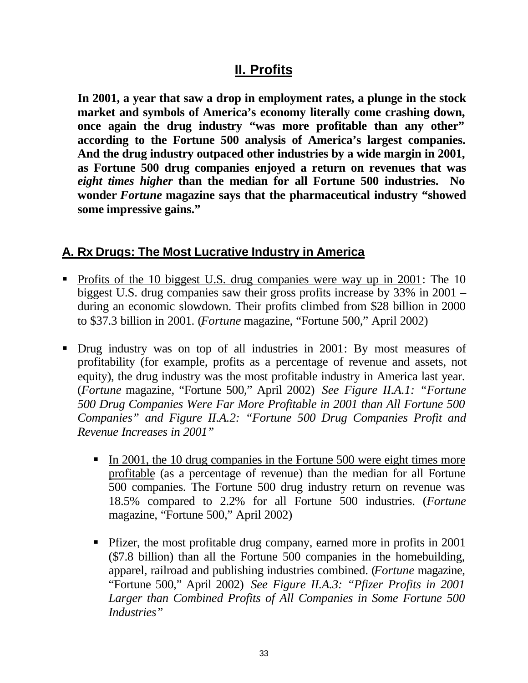# **II. Profits**

**In 2001, a year that saw a drop in employment rates, a plunge in the stock market and symbols of America's economy literally come crashing down, once again the drug industry "was more profitable than any other" according to the Fortune 500 analysis of America's largest companies. And the drug industry outpaced other industries by a wide margin in 2001, as Fortune 500 drug companies enjoyed a return on revenues that was** *eight times higher* **than the median for all Fortune 500 industries. No wonder** *Fortune* **magazine says that the pharmaceutical industry "showed some impressive gains."**

#### **A. Rx Drugs: The Most Lucrative Industry in America**

- Profits of the 10 biggest U.S. drug companies were way up in 2001: The 10 biggest U.S. drug companies saw their gross profits increase by 33% in 2001 – during an economic slowdown. Their profits climbed from \$28 billion in 2000 to \$37.3 billion in 2001. (*Fortune* magazine, "Fortune 500," April 2002)
- Drug industry was on top of all industries in 2001: By most measures of profitability (for example, profits as a percentage of revenue and assets, not equity), the drug industry was the most profitable industry in America last year. (*Fortune* magazine, "Fortune 500," April 2002) *See Figure II.A.1: "Fortune 500 Drug Companies Were Far More Profitable in 2001 than All Fortune 500 Companies" and Figure II.A.2: "Fortune 500 Drug Companies Profit and Revenue Increases in 2001"*
	- In 2001, the 10 drug companies in the Fortune 500 were eight times more profitable (as a percentage of revenue) than the median for all Fortune 500 companies. The Fortune 500 drug industry return on revenue was 18.5% compared to 2.2% for all Fortune 500 industries. (*Fortune* magazine, "Fortune 500," April 2002)
	- Pfizer, the most profitable drug company, earned more in profits in 2001 (\$7.8 billion) than all the Fortune 500 companies in the homebuilding, apparel, railroad and publishing industries combined. (*Fortune* magazine, "Fortune 500," April 2002) *See Figure II.A.3: "Pfizer Profits in 2001 Larger than Combined Profits of All Companies in Some Fortune 500 Industries"*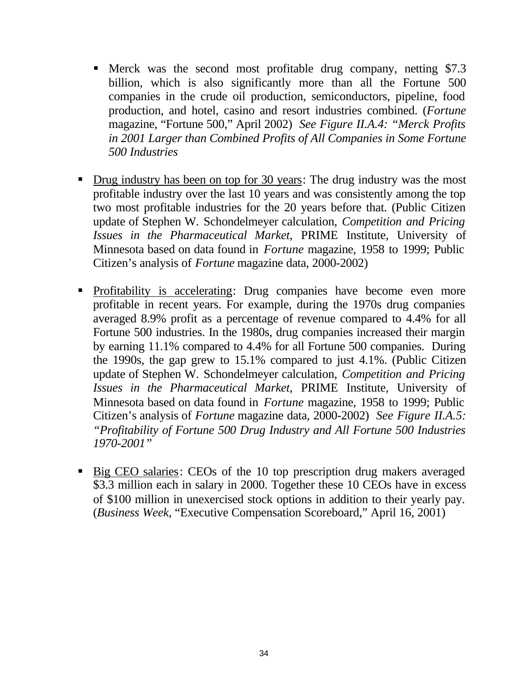- ß Merck was the second most profitable drug company, netting \$7.3 billion, which is also significantly more than all the Fortune 500 companies in the crude oil production, semiconductors, pipeline, food production, and hotel, casino and resort industries combined. (*Fortune* magazine, "Fortune 500," April 2002) *See Figure II.A.4: "Merck Profits in 2001 Larger than Combined Profits of All Companies in Some Fortune 500 Industries*
- Drug industry has been on top for 30 years: The drug industry was the most profitable industry over the last 10 years and was consistently among the top two most profitable industries for the 20 years before that. (Public Citizen update of Stephen W. Schondelmeyer calculation, *Competition and Pricing Issues in the Pharmaceutical Market*, PRIME Institute, University of Minnesota based on data found in *Fortune* magazine, 1958 to 1999; Public Citizen's analysis of *Fortune* magazine data, 2000-2002)
- Profitability is accelerating: Drug companies have become even more profitable in recent years. For example, during the 1970s drug companies averaged 8.9% profit as a percentage of revenue compared to 4.4% for all Fortune 500 industries. In the 1980s, drug companies increased their margin by earning 11.1% compared to 4.4% for all Fortune 500 companies. During the 1990s, the gap grew to 15.1% compared to just 4.1%. (Public Citizen update of Stephen W. Schondelmeyer calculation, *Competition and Pricing Issues in the Pharmaceutical Market*, PRIME Institute, University of Minnesota based on data found in *Fortune* magazine, 1958 to 1999; Public Citizen's analysis of *Fortune* magazine data, 2000-2002) *See Figure II.A.5: "Profitability of Fortune 500 Drug Industry and All Fortune 500 Industries 1970-2001"*
- Big CEO salaries: CEOs of the 10 top prescription drug makers averaged \$3.3 million each in salary in 2000. Together these 10 CEOs have in excess of \$100 million in unexercised stock options in addition to their yearly pay. (*Business Week*, "Executive Compensation Scoreboard," April 16, 2001)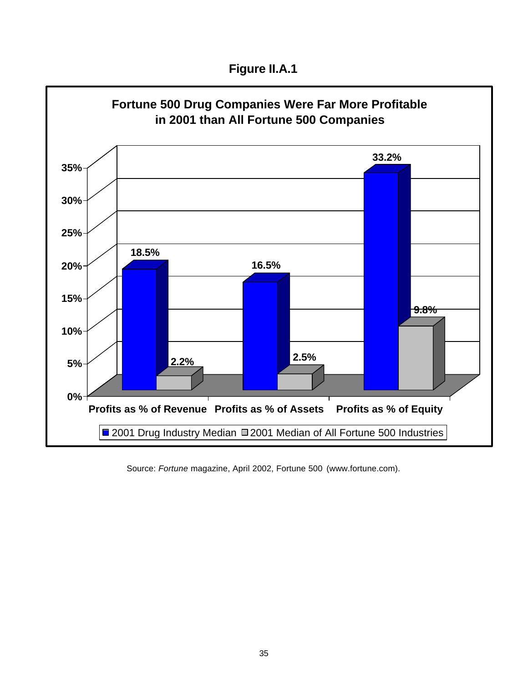**Figure II.A.1**



Source: *Fortune* magazine, April 2002, Fortune 500 (www.fortune.com).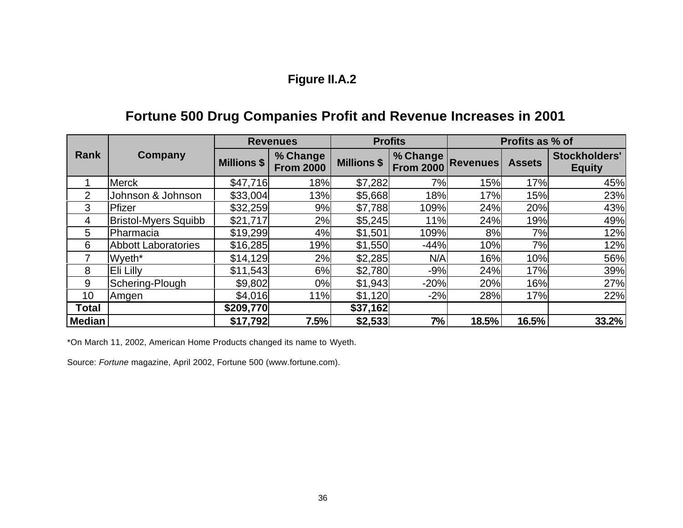### **Figure II.A.2**

### **Fortune 500 Drug Companies Profit and Revenue Increases in 2001**

|                | Company                     | <b>Revenues</b>    |                              |                    | <b>Profits</b>                                | Profits as % of |               |                                |
|----------------|-----------------------------|--------------------|------------------------------|--------------------|-----------------------------------------------|-----------------|---------------|--------------------------------|
| Rank           |                             | <b>Millions \$</b> | % Change<br><b>From 2000</b> | <b>Millions \$</b> | <b>V. Change Revenues</b><br><b>From 2000</b> |                 | <b>Assets</b> | Stockholders'<br><b>Equity</b> |
|                | <b>Merck</b>                | \$47,716           | 18%                          | \$7,282            | 7%                                            | 15%             | 17%           | 45%                            |
| 2              | Johnson & Johnson           | \$33,004           | 13%                          | \$5,668            | 18%                                           | 17%             | 15%           | 23%                            |
| 3              | Pfizer                      | \$32,259           | 9%                           | \$7,788            | 109%                                          | 24%             | 20%           | 43%                            |
| $\overline{4}$ | <b>Bristol-Myers Squibb</b> | \$21,717           | 2%                           | \$5,245            | 11%                                           | 24%             | 19%           | 49%                            |
| 5              | Pharmacia                   | \$19,299           | 4%                           | \$1,501            | 109%                                          | 8%l             | 7%            | 12%                            |
| 6              | <b>Abbott Laboratories</b>  | \$16,285           | 19%                          | \$1,550            | $-44%$                                        | 10%             | 7%            | 12%                            |
|                | Wyeth <sup>*</sup>          | \$14,129           | 2%                           | \$2,285            | N/A                                           | 16%             | 10%           | 56%                            |
| 8              | Eli Lilly                   | \$11,543           | 6%                           | \$2,780            | $-9%$                                         | 24%             | 17%           | 39%                            |
| 9              | Schering-Plough             | \$9,802            | 0%                           | \$1,943            | $-20%$                                        | 20%             | 16%           | 27%                            |
| 10             | Amgen                       | \$4,016            | 11%                          | \$1,120            | $-2%$                                         | 28%             | 17%           | 22%                            |
| <b>Total</b>   |                             | \$209,770          |                              | \$37,162           |                                               |                 |               |                                |
| <b>Median</b>  |                             | \$17,792           | 7.5%                         | \$2,533            | 7%                                            | 18.5%           | 16.5%         | 33.2%                          |

\*On March 11, 2002, American Home Products changed its name to Wyeth.

Source: *Fortune* magazine, April 2002, Fortune 500 (www.fortune.com).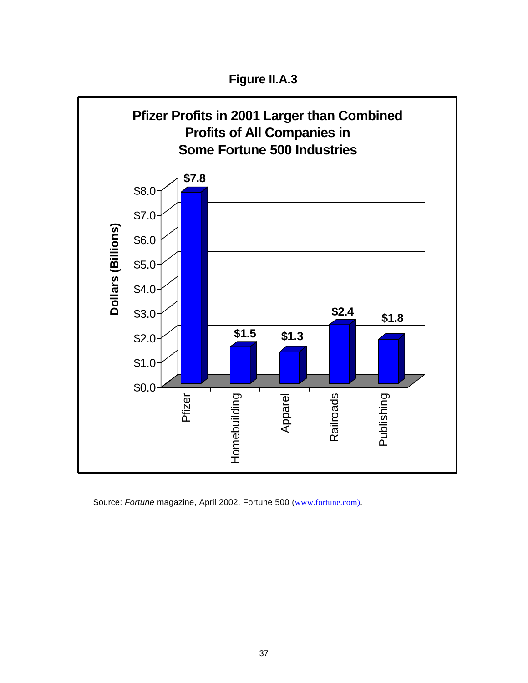**Figure II.A.3**



Source: Fortune magazine, April 2002, Fortune 500 (www.fortune.com).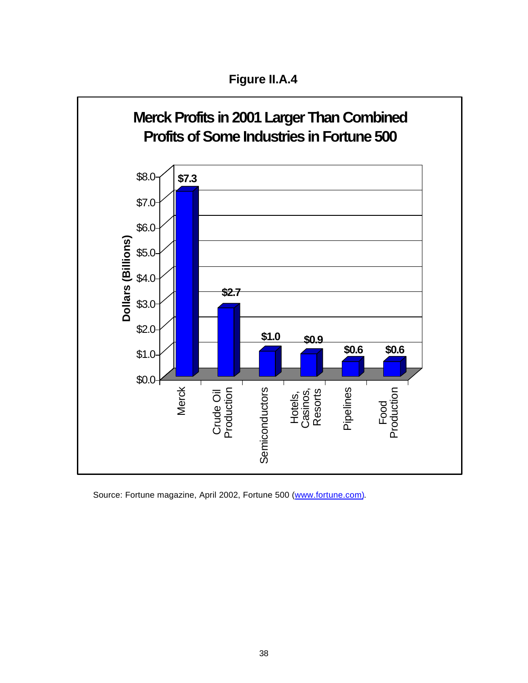**Figure II.A.4**



Source: Fortune magazine, April 2002, Fortune 500 (www.fortune.com).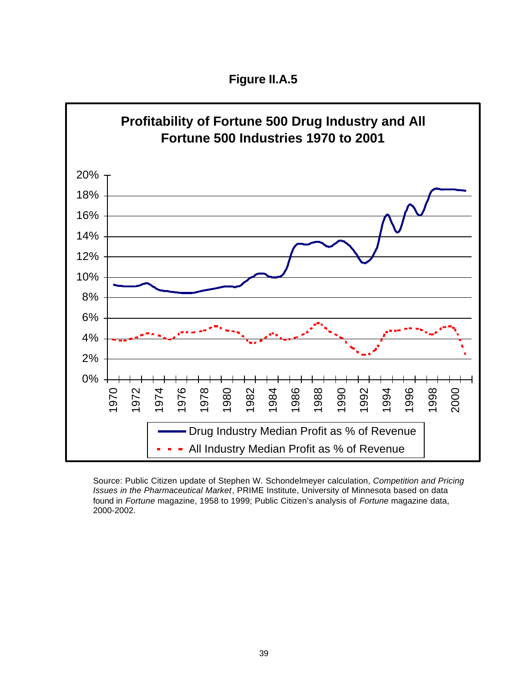**Figure II.A.5**



Source: Public Citizen update of Stephen W. Schondelmeyer calculation, *Competition and Pricing Issues in the Pharmaceutical Market*, PRIME Institute, University of Minnesota based on data found in *Fortune* magazine, 1958 to 1999; Public Citizen's analysis of *Fortune* magazine data, 2000-2002.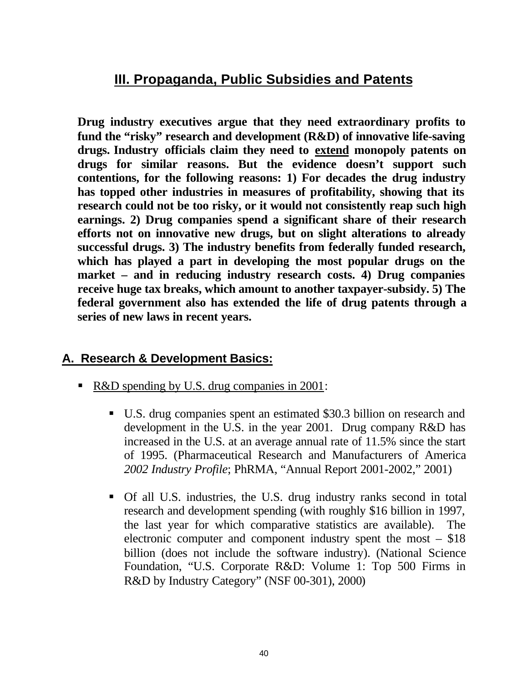### **III. Propaganda, Public Subsidies and Patents**

**Drug industry executives argue that they need extraordinary profits to fund the "risky" research and development (R&D) of innovative life-saving drugs. Industry officials claim they need to extend monopoly patents on drugs for similar reasons. But the evidence doesn't support such contentions, for the following reasons: 1) For decades the drug industry has topped other industries in measures of profitability, showing that its research could not be too risky, or it would not consistently reap such high earnings. 2) Drug companies spend a significant share of their research efforts not on innovative new drugs, but on slight alterations to already successful drugs. 3) The industry benefits from federally funded research, which has played a part in developing the most popular drugs on the market – and in reducing industry research costs. 4) Drug companies receive huge tax breaks, which amount to another taxpayer-subsidy. 5) The federal government also has extended the life of drug patents through a series of new laws in recent years.**

#### **A. Research & Development Basics:**

- R&D spending by U.S. drug companies in 2001:
	- U.S. drug companies spent an estimated \$30.3 billion on research and development in the U.S. in the year 2001. Drug company R&D has increased in the U.S. at an average annual rate of 11.5% since the start of 1995. (Pharmaceutical Research and Manufacturers of America *2002 Industry Profile*; PhRMA, "Annual Report 2001-2002," 2001)
	- ß Of all U.S. industries, the U.S. drug industry ranks second in total research and development spending (with roughly \$16 billion in 1997, the last year for which comparative statistics are available). The electronic computer and component industry spent the most – \$18 billion (does not include the software industry). (National Science Foundation, "U.S. Corporate R&D: Volume 1: Top 500 Firms in R&D by Industry Category" (NSF 00-301), 2000)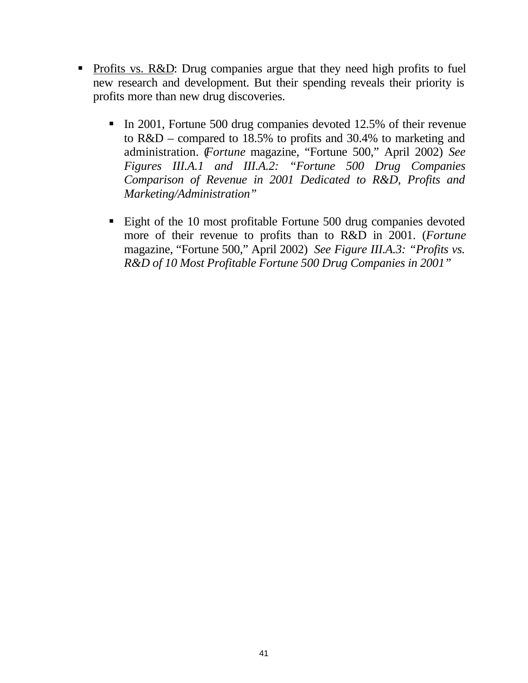- Profits vs. R&D: Drug companies argue that they need high profits to fuel new research and development. But their spending reveals their priority is profits more than new drug discoveries.
	- In 2001, Fortune 500 drug companies devoted 12.5% of their revenue to R&D – compared to 18.5% to profits and 30.4% to marketing and administration. (*Fortune* magazine, "Fortune 500," April 2002) *See Figures III.A.1 and III.A.2: "Fortune 500 Drug Companies Comparison of Revenue in 2001 Dedicated to R&D, Profits and Marketing/Administration"*
	- Eight of the 10 most profitable Fortune 500 drug companies devoted more of their revenue to profits than to R&D in 2001. (*Fortune* magazine, "Fortune 500," April 2002) *See Figure III.A.3: "Profits vs. R&D of 10 Most Profitable Fortune 500 Drug Companies in 2001"*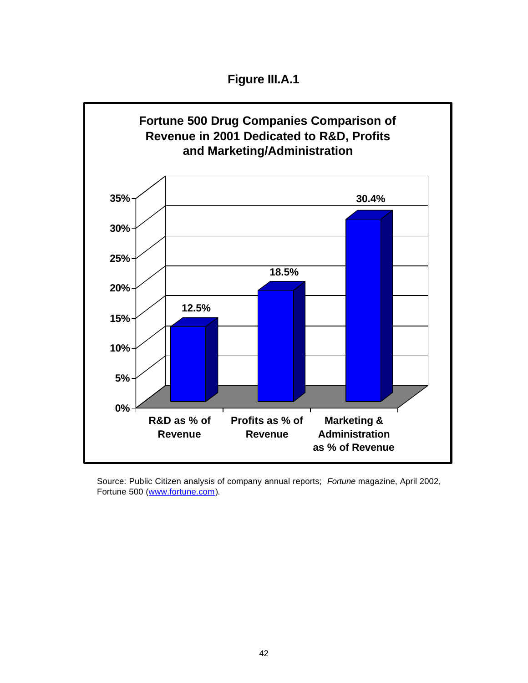**Figure III.A.1**



Source: Public Citizen analysis of company annual reports; *Fortune* magazine, April 2002, Fortune 500 (www.fortune.com).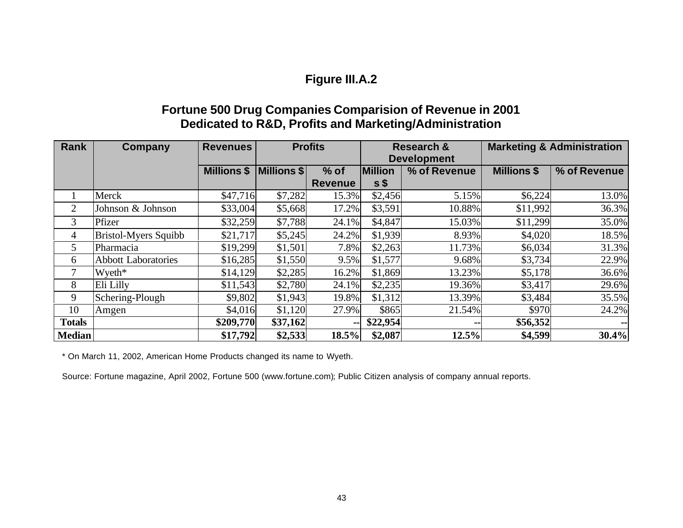#### **Figure III.A.2**

#### **Fortune 500 Drug Companies Comparision of Revenue in 2001 Dedicated to R&D, Profits and Marketing/Administration**

| Rank            | Company                    | <b>Revenues</b>    | <b>Profits</b> |                | <b>Research &amp;</b> |              | <b>Marketing &amp; Administration</b> |              |
|-----------------|----------------------------|--------------------|----------------|----------------|-----------------------|--------------|---------------------------------------|--------------|
|                 |                            |                    |                |                | <b>Development</b>    |              |                                       |              |
|                 |                            | <b>Millions \$</b> | Millions \$    | $%$ of         | <b>Million</b>        | % of Revenue | <b>Millions \$</b>                    | % of Revenue |
|                 |                            |                    |                | <b>Revenue</b> | s                     |              |                                       |              |
|                 | Merck                      | \$47,716           | \$7,282        | 15.3%          | \$2,456               | 5.15%        | \$6,224                               | 13.0%        |
| $\overline{2}$  | Johnson & Johnson          | \$33,004           | \$5,668        | 17.2%          | \$3,591               | 10.88%       | \$11,992                              | 36.3%        |
| 3               | Pfizer                     | \$32,259           | \$7,788        | 24.1%          | \$4,847               | 15.03%       | \$11,299                              | 35.0%        |
| 4               | Bristol-Myers Squibb       | \$21,717           | \$5,245        | 24.2%          | \$1,939               | 8.93%        | \$4,020                               | 18.5%        |
| $5\overline{)}$ | Pharmacia                  | \$19,299           | \$1,501        | 7.8%           | \$2,263               | 11.73%       | \$6,034                               | 31.3%        |
| 6               | <b>Abbott Laboratories</b> | \$16,285           | \$1,550        | 9.5%           | \$1,577               | 9.68%        | \$3,734                               | 22.9%        |
| 7               | Wyeth*                     | \$14,129           | \$2,285        | 16.2%          | \$1,869               | 13.23%       | \$5,178                               | 36.6%        |
| 8               | Eli Lilly                  | \$11,543           | \$2,780        | 24.1%          | \$2,235               | 19.36%       | \$3,417                               | 29.6%        |
| 9               | Schering-Plough            | \$9,802            | \$1,943        | 19.8%          | \$1,312               | 13.39%       | \$3,484                               | 35.5%        |
| 10              | Amgen                      | \$4,016            | \$1,120        | 27.9%          | \$865                 | 21.54%       | \$970                                 | 24.2%        |
| <b>Totals</b>   |                            | \$209,770          | \$37,162       | --             | \$22,954              | --           | \$56,352                              | $\sim$       |
| <b>Median</b>   |                            | \$17,792           | \$2,533        | 18.5%          | \$2,087               | 12.5%        | \$4,599                               | 30.4%        |

\* On March 11, 2002, American Home Products changed its name to Wyeth.

Source: Fortune magazine, April 2002, Fortune 500 (www.fortune.com); Public Citizen analysis of company annual reports.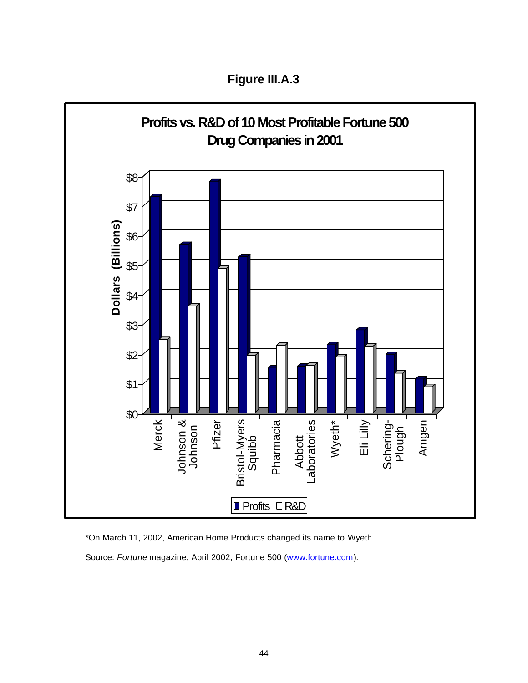**Figure III.A.3**



\*On March 11, 2002, American Home Products changed its name to Wyeth. Source: Fortune magazine, April 2002, Fortune 500 (www.fortune.com).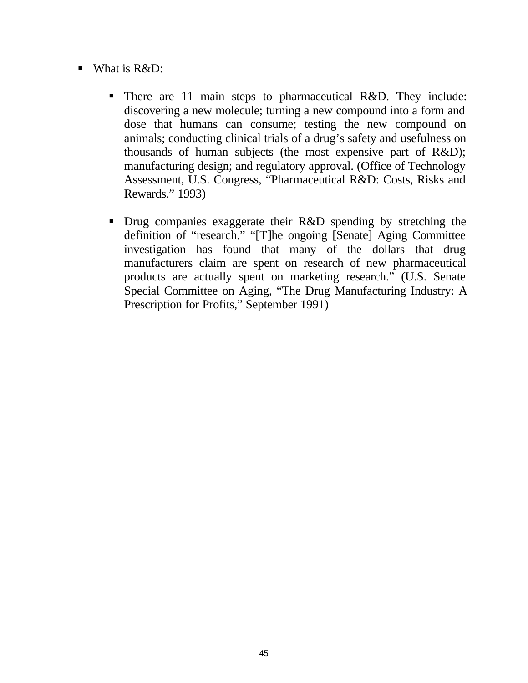#### ■ What is  $R&D$ :

- There are 11 main steps to pharmaceutical R&D. They include: discovering a new molecule; turning a new compound into a form and dose that humans can consume; testing the new compound on animals; conducting clinical trials of a drug's safety and usefulness on thousands of human subjects (the most expensive part of R&D); manufacturing design; and regulatory approval. (Office of Technology Assessment, U.S. Congress, "Pharmaceutical R&D: Costs, Risks and Rewards," 1993)
- Drug companies exaggerate their R&D spending by stretching the definition of "research." "[T]he ongoing [Senate] Aging Committee investigation has found that many of the dollars that drug manufacturers claim are spent on research of new pharmaceutical products are actually spent on marketing research." (U.S. Senate Special Committee on Aging, "The Drug Manufacturing Industry: A Prescription for Profits," September 1991)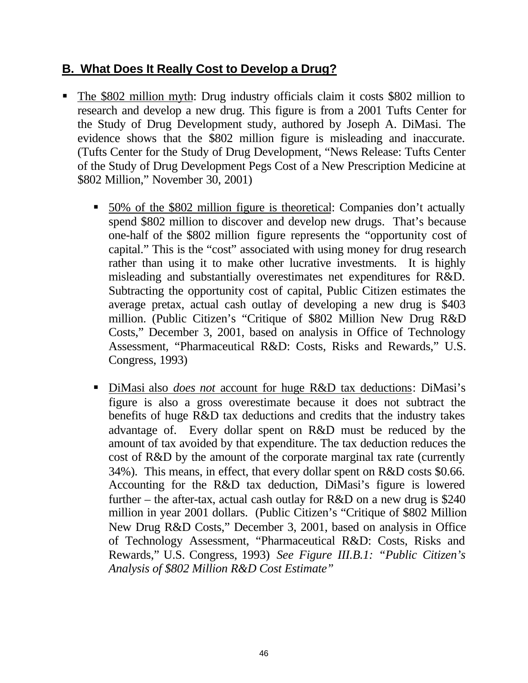#### **B. What Does It Really Cost to Develop a Drug?**

- The \$802 million myth: Drug industry officials claim it costs \$802 million to research and develop a new drug. This figure is from a 2001 Tufts Center for the Study of Drug Development study, authored by Joseph A. DiMasi. The evidence shows that the \$802 million figure is misleading and inaccurate. (Tufts Center for the Study of Drug Development, "News Release: Tufts Center of the Study of Drug Development Pegs Cost of a New Prescription Medicine at \$802 Million," November 30, 2001)
	- ß 50% of the \$802 million figure is theoretical: Companies don't actually spend \$802 million to discover and develop new drugs. That's because one-half of the \$802 million figure represents the "opportunity cost of capital." This is the "cost" associated with using money for drug research rather than using it to make other lucrative investments. It is highly misleading and substantially overestimates net expenditures for R&D. Subtracting the opportunity cost of capital, Public Citizen estimates the average pretax, actual cash outlay of developing a new drug is \$403 million. (Public Citizen's "Critique of \$802 Million New Drug R&D Costs," December 3, 2001, based on analysis in Office of Technology Assessment, "Pharmaceutical R&D: Costs, Risks and Rewards," U.S. Congress, 1993)
	- DiMasi also *does not* account for huge R&D tax deductions: DiMasi's figure is also a gross overestimate because it does not subtract the benefits of huge R&D tax deductions and credits that the industry takes advantage of. Every dollar spent on R&D must be reduced by the amount of tax avoided by that expenditure. The tax deduction reduces the cost of R&D by the amount of the corporate marginal tax rate (currently 34%). This means, in effect, that every dollar spent on R&D costs \$0.66. Accounting for the R&D tax deduction, DiMasi's figure is lowered further – the after-tax, actual cash outlay for  $R&D$  on a new drug is \$240 million in year 2001 dollars. (Public Citizen's "Critique of \$802 Million New Drug R&D Costs," December 3, 2001, based on analysis in Office of Technology Assessment, "Pharmaceutical R&D: Costs, Risks and Rewards," U.S. Congress, 1993) *See Figure III.B.1: "Public Citizen's Analysis of \$802 Million R&D Cost Estimate"*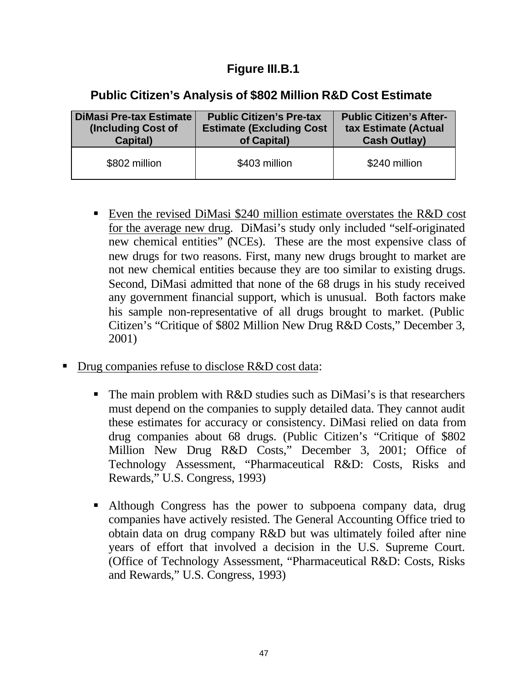#### **Figure III.B.1**

#### **Public Citizen's Analysis of \$802 Million R&D Cost Estimate**

| DiMasi Pre-tax Estimate | <b>Public Citizen's Pre-tax</b> | <b>Public Citizen's After-</b> |
|-------------------------|---------------------------------|--------------------------------|
| (Including Cost of      | <b>Estimate (Excluding Cost</b> | tax Estimate (Actual           |
| Capital)                | of Capital)                     | <b>Cash Outlay)</b>            |
| \$802 million           | \$403 million                   | \$240 million                  |

- Even the revised DiMasi \$240 million estimate overstates the R&D cost for the average new drug. DiMasi's study only included "self-originated new chemical entities" (NCEs). These are the most expensive class of new drugs for two reasons. First, many new drugs brought to market are not new chemical entities because they are too similar to existing drugs. Second, DiMasi admitted that none of the 68 drugs in his study received any government financial support, which is unusual. Both factors make his sample non-representative of all drugs brought to market. (Public Citizen's "Critique of \$802 Million New Drug R&D Costs," December 3, 2001)
- ß Drug companies refuse to disclose R&D cost data:
	- $\blacksquare$  The main problem with R&D studies such as DiMasi's is that researchers must depend on the companies to supply detailed data. They cannot audit these estimates for accuracy or consistency. DiMasi relied on data from drug companies about 68 drugs. (Public Citizen's "Critique of \$802 Million New Drug R&D Costs," December 3, 2001; Office of Technology Assessment, "Pharmaceutical R&D: Costs, Risks and Rewards," U.S. Congress, 1993)
	- Although Congress has the power to subpoena company data, drug companies have actively resisted. The General Accounting Office tried to obtain data on drug company R&D but was ultimately foiled after nine years of effort that involved a decision in the U.S. Supreme Court. (Office of Technology Assessment, "Pharmaceutical R&D: Costs, Risks and Rewards," U.S. Congress, 1993)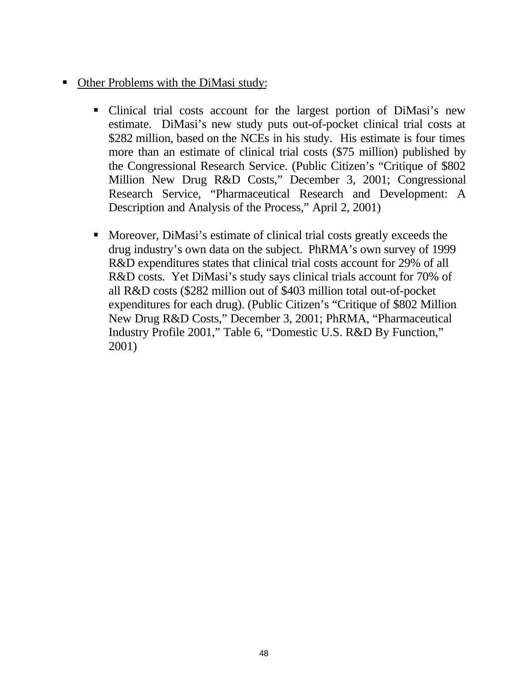- Other Problems with the DiMasi study:
	- Clinical trial costs account for the largest portion of DiMasi's new estimate. DiMasi's new study puts out-of-pocket clinical trial costs at \$282 million, based on the NCEs in his study. His estimate is four times more than an estimate of clinical trial costs (\$75 million) published by the Congressional Research Service. (Public Citizen's "Critique of \$802 Million New Drug R&D Costs," December 3, 2001; Congressional Research Service, "Pharmaceutical Research and Development: A Description and Analysis of the Process," April 2, 2001)
	- Moreover, DiMasi's estimate of clinical trial costs greatly exceeds the drug industry's own data on the subject. PhRMA's own survey of 1999 R&D expenditures states that clinical trial costs account for 29% of all R&D costs. Yet DiMasi's study says clinical trials account for 70% of all R&D costs (\$282 million out of \$403 million total out-of-pocket expenditures for each drug). (Public Citizen's "Critique of \$802 Million New Drug R&D Costs," December 3, 2001; PhRMA, "Pharmaceutical Industry Profile 2001," Table 6, "Domestic U.S. R&D By Function," 2001)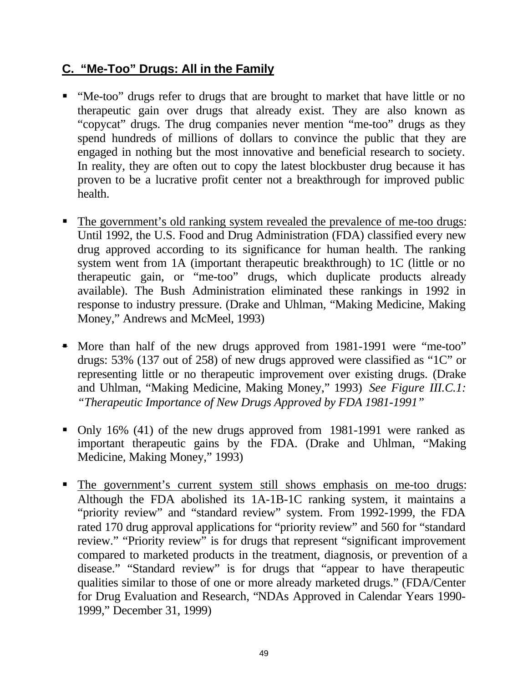#### **C. "Me-Too" Drugs: All in the Family**

- ß "Me-too" drugs refer to drugs that are brought to market that have little or no therapeutic gain over drugs that already exist. They are also known as "copycat" drugs. The drug companies never mention "me-too" drugs as they spend hundreds of millions of dollars to convince the public that they are engaged in nothing but the most innovative and beneficial research to society. In reality, they are often out to copy the latest blockbuster drug because it has proven to be a lucrative profit center not a breakthrough for improved public health.
- The government's old ranking system revealed the prevalence of me-too drugs: Until 1992, the U.S. Food and Drug Administration (FDA) classified every new drug approved according to its significance for human health. The ranking system went from 1A (important therapeutic breakthrough) to 1C (little or no therapeutic gain, or "me-too" drugs, which duplicate products already available). The Bush Administration eliminated these rankings in 1992 in response to industry pressure. (Drake and Uhlman, "Making Medicine, Making Money," Andrews and McMeel, 1993)
- More than half of the new drugs approved from 1981-1991 were "me-too" drugs: 53% (137 out of 258) of new drugs approved were classified as "1C" or representing little or no therapeutic improvement over existing drugs. (Drake and Uhlman, "Making Medicine, Making Money," 1993) *See Figure III.C.1: "Therapeutic Importance of New Drugs Approved by FDA 1981-1991"*
- Only 16% (41) of the new drugs approved from 1981-1991 were ranked as important therapeutic gains by the FDA. (Drake and Uhlman, "Making Medicine, Making Money," 1993)
- The government's current system still shows emphasis on me-too drugs: Although the FDA abolished its 1A-1B-1C ranking system, it maintains a "priority review" and "standard review" system. From 1992-1999, the FDA rated 170 drug approval applications for "priority review" and 560 for "standard review." "Priority review" is for drugs that represent "significant improvement compared to marketed products in the treatment, diagnosis, or prevention of a disease." "Standard review" is for drugs that "appear to have therapeutic qualities similar to those of one or more already marketed drugs." (FDA/Center for Drug Evaluation and Research, "NDAs Approved in Calendar Years 1990- 1999," December 31, 1999)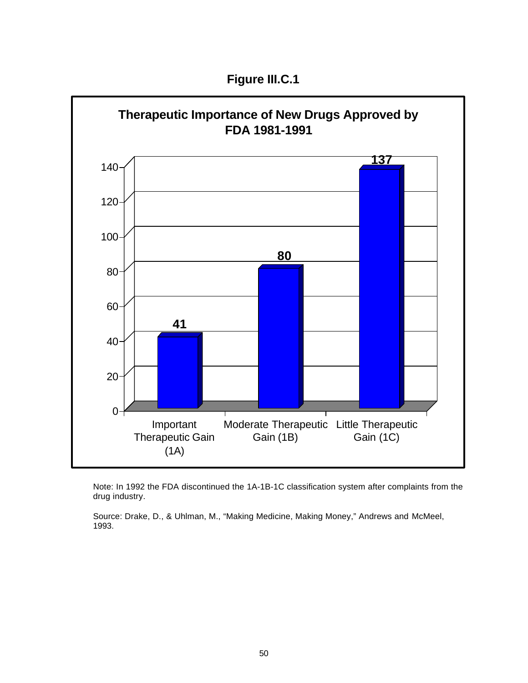**Figure III.C.1**



Note: In 1992 the FDA discontinued the 1A-1B-1C classification system after complaints from the drug industry.

Source: Drake, D., & Uhlman, M., "Making Medicine, Making Money," Andrews and McMeel, 1993.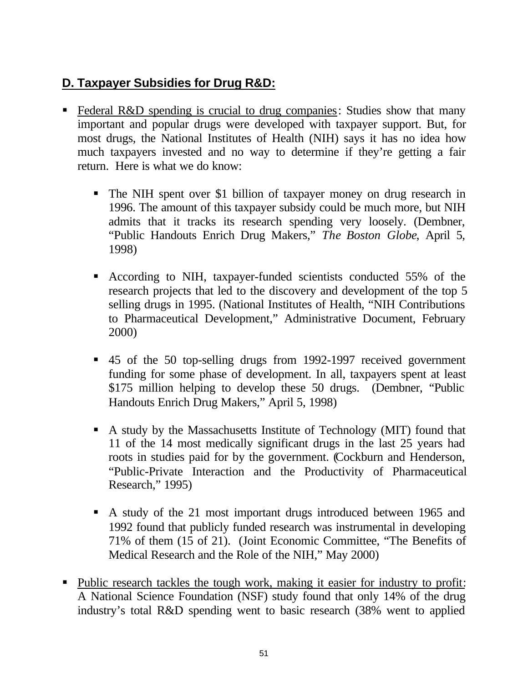#### **D. Taxpayer Subsidies for Drug R&D:**

- Federal R&D spending is crucial to drug companies: Studies show that many important and popular drugs were developed with taxpayer support. But, for most drugs, the National Institutes of Health (NIH) says it has no idea how much taxpayers invested and no way to determine if they're getting a fair return. Here is what we do know:
	- The NIH spent over \$1 billion of taxpayer money on drug research in 1996. The amount of this taxpayer subsidy could be much more, but NIH admits that it tracks its research spending very loosely. (Dembner, "Public Handouts Enrich Drug Makers," *The Boston Globe*, April 5, 1998)
	- ß According to NIH, taxpayer-funded scientists conducted 55% of the research projects that led to the discovery and development of the top 5 selling drugs in 1995. (National Institutes of Health, "NIH Contributions to Pharmaceutical Development," Administrative Document, February 2000)
	- ß 45 of the 50 top-selling drugs from 1992-1997 received government funding for some phase of development. In all, taxpayers spent at least \$175 million helping to develop these 50 drugs. (Dembner, "Public Handouts Enrich Drug Makers," April 5, 1998)
	- A study by the Massachusetts Institute of Technology (MIT) found that 11 of the 14 most medically significant drugs in the last 25 years had roots in studies paid for by the government. (Cockburn and Henderson, "Public-Private Interaction and the Productivity of Pharmaceutical Research," 1995)
	- A study of the 21 most important drugs introduced between 1965 and 1992 found that publicly funded research was instrumental in developing 71% of them (15 of 21). (Joint Economic Committee, "The Benefits of Medical Research and the Role of the NIH," May 2000)
- Public research tackles the tough work, making it easier for industry to profit: A National Science Foundation (NSF) study found that only 14% of the drug industry's total R&D spending went to basic research (38% went to applied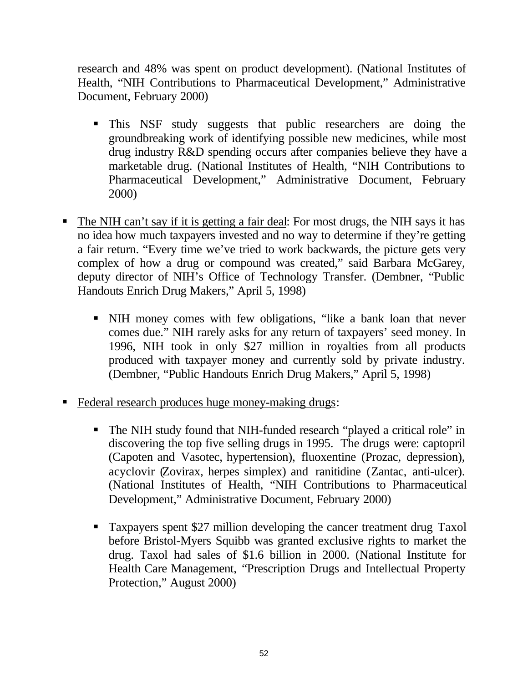research and 48% was spent on product development). (National Institutes of Health, "NIH Contributions to Pharmaceutical Development," Administrative Document, February 2000)

- ß This NSF study suggests that public researchers are doing the groundbreaking work of identifying possible new medicines, while most drug industry R&D spending occurs after companies believe they have a marketable drug. (National Institutes of Health, "NIH Contributions to Pharmaceutical Development," Administrative Document, February 2000)
- ß The NIH can't say if it is getting a fair deal: For most drugs, the NIH says it has no idea how much taxpayers invested and no way to determine if they're getting a fair return. "Every time we've tried to work backwards, the picture gets very complex of how a drug or compound was created," said Barbara McGarey, deputy director of NIH's Office of Technology Transfer. (Dembner, "Public Handouts Enrich Drug Makers," April 5, 1998)
	- ß NIH money comes with few obligations, "like a bank loan that never comes due." NIH rarely asks for any return of taxpayers' seed money. In 1996, NIH took in only \$27 million in royalties from all products produced with taxpayer money and currently sold by private industry. (Dembner, "Public Handouts Enrich Drug Makers," April 5, 1998)
- Federal research produces huge money-making drugs:
	- The NIH study found that NIH-funded research "played a critical role" in discovering the top five selling drugs in 1995. The drugs were: captopril (Capoten and Vasotec, hypertension), fluoxentine (Prozac, depression), acyclovir (Zovirax, herpes simplex) and ranitidine (Zantac, anti-ulcer). (National Institutes of Health, "NIH Contributions to Pharmaceutical Development," Administrative Document, February 2000)
	- Taxpayers spent \$27 million developing the cancer treatment drug Taxol before Bristol-Myers Squibb was granted exclusive rights to market the drug. Taxol had sales of \$1.6 billion in 2000. (National Institute for Health Care Management, "Prescription Drugs and Intellectual Property Protection," August 2000)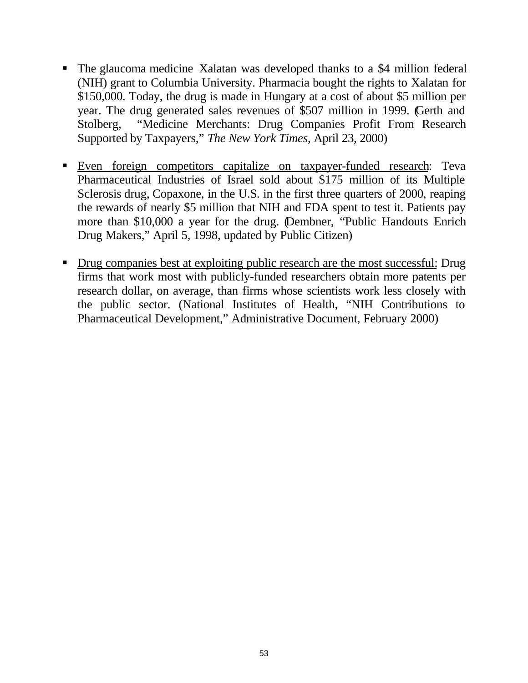- The glaucoma medicine Xalatan was developed thanks to a \$4 million federal (NIH) grant to Columbia University. Pharmacia bought the rights to Xalatan for \$150,000. Today, the drug is made in Hungary at a cost of about \$5 million per year. The drug generated sales revenues of \$507 million in 1999. (Gerth and Stolberg, "Medicine Merchants: Drug Companies Profit From Research Supported by Taxpayers," *The New York Times*, April 23, 2000)
- ß Even foreign competitors capitalize on taxpayer-funded research: Teva Pharmaceutical Industries of Israel sold about \$175 million of its Multiple Sclerosis drug, Copaxone, in the U.S. in the first three quarters of 2000, reaping the rewards of nearly \$5 million that NIH and FDA spent to test it. Patients pay more than \$10,000 a year for the drug. (Dembner, "Public Handouts Enrich Drug Makers," April 5, 1998, updated by Public Citizen)
- Drug companies best at exploiting public research are the most successful: Drug firms that work most with publicly-funded researchers obtain more patents per research dollar, on average, than firms whose scientists work less closely with the public sector. (National Institutes of Health, "NIH Contributions to Pharmaceutical Development," Administrative Document, February 2000)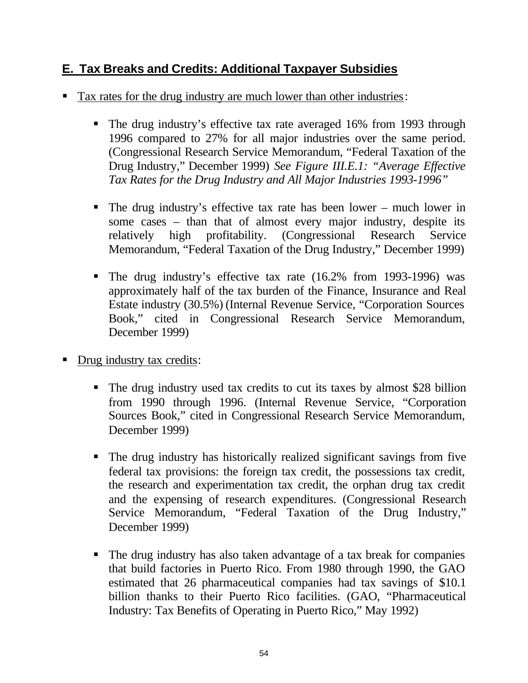#### **E. Tax Breaks and Credits: Additional Taxpayer Subsidies**

- Tax rates for the drug industry are much lower than other industries:
	- The drug industry's effective tax rate averaged 16% from 1993 through 1996 compared to 27% for all major industries over the same period. (Congressional Research Service Memorandum, "Federal Taxation of the Drug Industry," December 1999) *See Figure III.E.1: "Average Effective Tax Rates for the Drug Industry and All Major Industries 1993-1996"*
	- The drug industry's effective tax rate has been lower much lower in some cases – than that of almost every major industry, despite its relatively high profitability. (Congressional Research Service Memorandum, "Federal Taxation of the Drug Industry," December 1999)
	- The drug industry's effective tax rate (16.2% from 1993-1996) was approximately half of the tax burden of the Finance, Insurance and Real Estate industry (30.5%) (Internal Revenue Service, "Corporation Sources Book," cited in Congressional Research Service Memorandum, December 1999)
- Drug industry tax credits:
	- The drug industry used tax credits to cut its taxes by almost \$28 billion from 1990 through 1996. (Internal Revenue Service, "Corporation Sources Book," cited in Congressional Research Service Memorandum, December 1999)
	- The drug industry has historically realized significant savings from five federal tax provisions: the foreign tax credit, the possessions tax credit, the research and experimentation tax credit, the orphan drug tax credit and the expensing of research expenditures. (Congressional Research Service Memorandum, "Federal Taxation of the Drug Industry," December 1999)
	- The drug industry has also taken advantage of a tax break for companies that build factories in Puerto Rico. From 1980 through 1990, the GAO estimated that 26 pharmaceutical companies had tax savings of \$10.1 billion thanks to their Puerto Rico facilities. (GAO, "Pharmaceutical Industry: Tax Benefits of Operating in Puerto Rico," May 1992)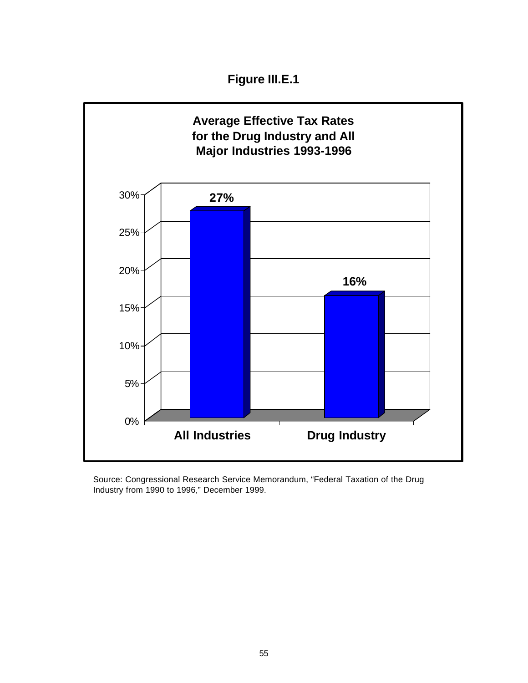**Figure III.E.1**



Source: Congressional Research Service Memorandum, "Federal Taxation of the Drug Industry from 1990 to 1996," December 1999.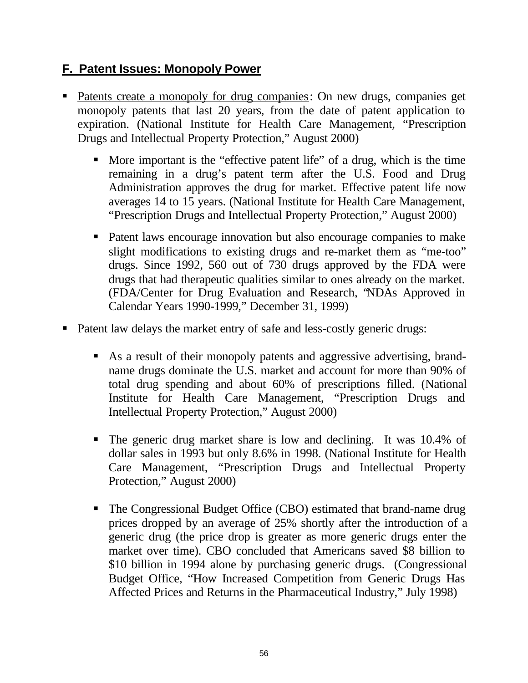#### **F. Patent Issues: Monopoly Power**

- Patents create a monopoly for drug companies: On new drugs, companies get monopoly patents that last 20 years, from the date of patent application to expiration. (National Institute for Health Care Management, "Prescription Drugs and Intellectual Property Protection," August 2000)
	- More important is the "effective patent life" of a drug, which is the time remaining in a drug's patent term after the U.S. Food and Drug Administration approves the drug for market. Effective patent life now averages 14 to 15 years. (National Institute for Health Care Management, "Prescription Drugs and Intellectual Property Protection," August 2000)
	- Patent laws encourage innovation but also encourage companies to make slight modifications to existing drugs and re-market them as "me-too" drugs. Since 1992, 560 out of 730 drugs approved by the FDA were drugs that had therapeutic qualities similar to ones already on the market. (FDA/Center for Drug Evaluation and Research, "NDAs Approved in Calendar Years 1990-1999," December 31, 1999)
- ß Patent law delays the market entry of safe and less-costly generic drugs:
	- As a result of their monopoly patents and aggressive advertising, brandname drugs dominate the U.S. market and account for more than 90% of total drug spending and about 60% of prescriptions filled. (National Institute for Health Care Management, "Prescription Drugs and Intellectual Property Protection," August 2000)
	- The generic drug market share is low and declining. It was 10.4% of dollar sales in 1993 but only 8.6% in 1998. (National Institute for Health Care Management, "Prescription Drugs and Intellectual Property Protection," August 2000)
	- The Congressional Budget Office (CBO) estimated that brand-name drug prices dropped by an average of 25% shortly after the introduction of a generic drug (the price drop is greater as more generic drugs enter the market over time). CBO concluded that Americans saved \$8 billion to \$10 billion in 1994 alone by purchasing generic drugs. (Congressional Budget Office, "How Increased Competition from Generic Drugs Has Affected Prices and Returns in the Pharmaceutical Industry," July 1998)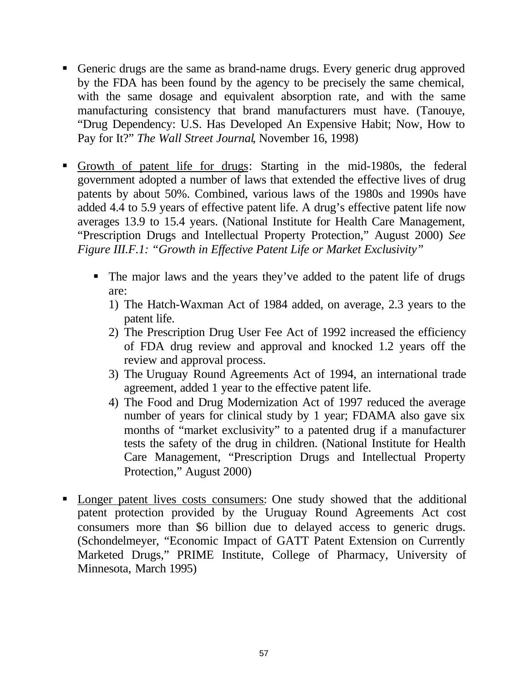- Generic drugs are the same as brand-name drugs. Every generic drug approved by the FDA has been found by the agency to be precisely the same chemical, with the same dosage and equivalent absorption rate, and with the same manufacturing consistency that brand manufacturers must have. (Tanouye, "Drug Dependency: U.S. Has Developed An Expensive Habit; Now, How to Pay for It?" *The Wall Street Journal*, November 16, 1998)
- ß Growth of patent life for drugs: Starting in the mid-1980s, the federal government adopted a number of laws that extended the effective lives of drug patents by about 50%. Combined, various laws of the 1980s and 1990s have added 4.4 to 5.9 years of effective patent life. A drug's effective patent life now averages 13.9 to 15.4 years. (National Institute for Health Care Management, "Prescription Drugs and Intellectual Property Protection," August 2000) *See Figure III.F.1: "Growth in Effective Patent Life or Market Exclusivity"*
	- The major laws and the years they've added to the patent life of drugs are:
		- 1) The Hatch-Waxman Act of 1984 added, on average, 2.3 years to the patent life.
		- 2) The Prescription Drug User Fee Act of 1992 increased the efficiency of FDA drug review and approval and knocked 1.2 years off the review and approval process.
		- 3) The Uruguay Round Agreements Act of 1994, an international trade agreement, added 1 year to the effective patent life.
		- 4) The Food and Drug Modernization Act of 1997 reduced the average number of years for clinical study by 1 year; FDAMA also gave six months of "market exclusivity" to a patented drug if a manufacturer tests the safety of the drug in children. (National Institute for Health Care Management, "Prescription Drugs and Intellectual Property Protection," August 2000)
- Longer patent lives costs consumers: One study showed that the additional patent protection provided by the Uruguay Round Agreements Act cost consumers more than \$6 billion due to delayed access to generic drugs. (Schondelmeyer, "Economic Impact of GATT Patent Extension on Currently Marketed Drugs," PRIME Institute, College of Pharmacy, University of Minnesota, March 1995)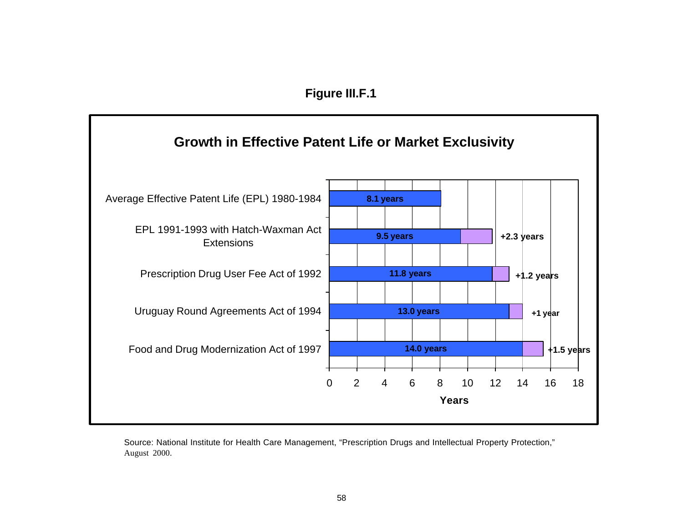#### **Figure III.F.1**



Source: National Institute for Health Care Management, "Prescription Drugs and Intellectual Property Protection," August 2000.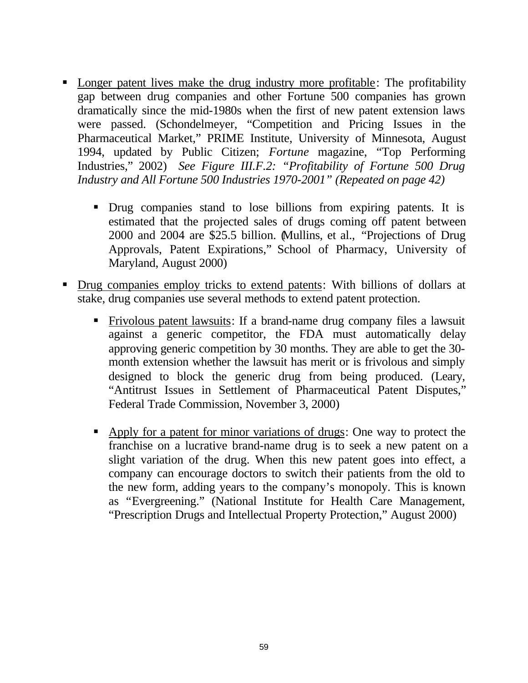- Longer patent lives make the drug industry more profitable: The profitability gap between drug companies and other Fortune 500 companies has grown dramatically since the mid-1980s when the first of new patent extension laws were passed. (Schondelmeyer, "Competition and Pricing Issues in the Pharmaceutical Market," PRIME Institute, University of Minnesota, August 1994, updated by Public Citizen; *Fortune* magazine, "Top Performing Industries," 2002) *See Figure III.F.2: "Profitability of Fortune 500 Drug Industry and All Fortune 500 Industries 1970-2001" (Repeated on page 42)*
	- ß Drug companies stand to lose billions from expiring patents. It is estimated that the projected sales of drugs coming off patent between 2000 and 2004 are \$25.5 billion. (Mullins, et al., "Projections of Drug Approvals, Patent Expirations," School of Pharmacy, University of Maryland, August 2000)
- ß Drug companies employ tricks to extend patents: With billions of dollars at stake, drug companies use several methods to extend patent protection.
	- ß Frivolous patent lawsuits: If a brand-name drug company files a lawsuit against a generic competitor, the FDA must automatically delay approving generic competition by 30 months. They are able to get the 30 month extension whether the lawsuit has merit or is frivolous and simply designed to block the generic drug from being produced. (Leary, "Antitrust Issues in Settlement of Pharmaceutical Patent Disputes," Federal Trade Commission, November 3, 2000)
	- Apply for a patent for minor variations of drugs: One way to protect the franchise on a lucrative brand-name drug is to seek a new patent on a slight variation of the drug. When this new patent goes into effect, a company can encourage doctors to switch their patients from the old to the new form, adding years to the company's monopoly. This is known as "Evergreening." (National Institute for Health Care Management, "Prescription Drugs and Intellectual Property Protection," August 2000)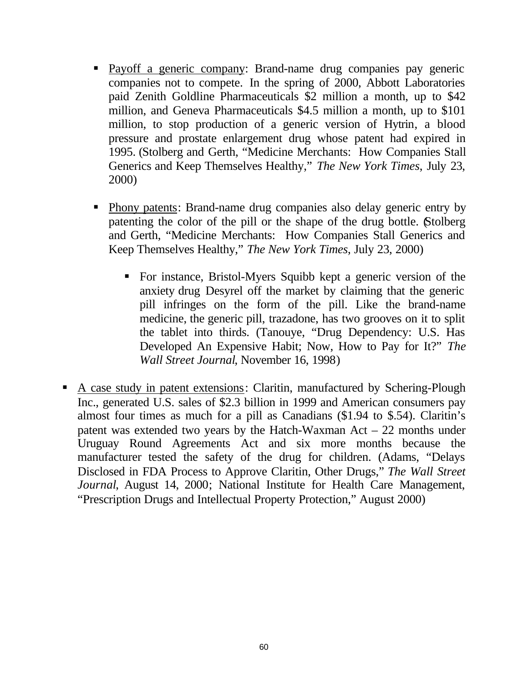- Payoff a generic company: Brand-name drug companies pay generic companies not to compete. In the spring of 2000, Abbott Laboratories paid Zenith Goldline Pharmaceuticals \$2 million a month, up to \$42 million, and Geneva Pharmaceuticals \$4.5 million a month, up to \$101 million, to stop production of a generic version of Hytrin, a blood pressure and prostate enlargement drug whose patent had expired in 1995. (Stolberg and Gerth, "Medicine Merchants: How Companies Stall Generics and Keep Themselves Healthy," *The New York Times*, July 23, 2000)
- Phony patents: Brand-name drug companies also delay generic entry by patenting the color of the pill or the shape of the drug bottle. (Stolberg and Gerth, "Medicine Merchants: How Companies Stall Generics and Keep Themselves Healthy," *The New York Times*, July 23, 2000)
	- ß For instance, Bristol-Myers Squibb kept a generic version of the anxiety drug Desyrel off the market by claiming that the generic pill infringes on the form of the pill. Like the brand-name medicine, the generic pill, trazadone, has two grooves on it to split the tablet into thirds. (Tanouye, "Drug Dependency: U.S. Has Developed An Expensive Habit; Now, How to Pay for It?" *The Wall Street Journal*, November 16, 1998)
- A case study in patent extensions: Claritin, manufactured by Schering-Plough Inc., generated U.S. sales of \$2.3 billion in 1999 and American consumers pay almost four times as much for a pill as Canadians (\$1.94 to \$.54). Claritin's patent was extended two years by the Hatch-Waxman Act – 22 months under Uruguay Round Agreements Act and six more months because the manufacturer tested the safety of the drug for children. (Adams, "Delays Disclosed in FDA Process to Approve Claritin, Other Drugs," *The Wall Street Journal*, August 14, 2000; National Institute for Health Care Management, "Prescription Drugs and Intellectual Property Protection," August 2000)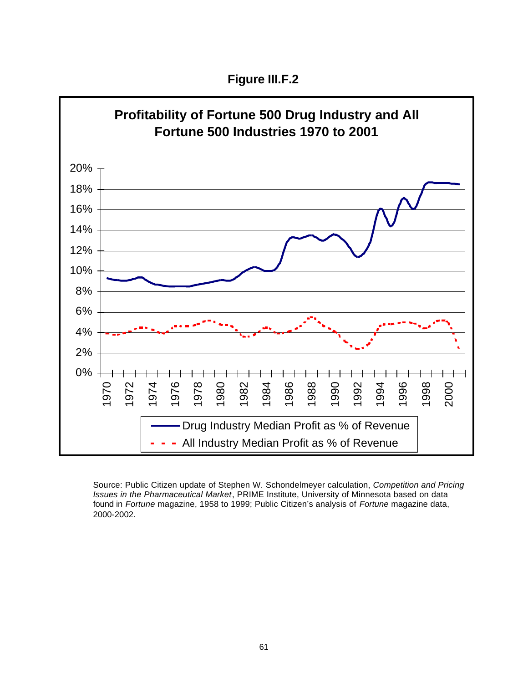**Figure III.F.2**



Source: Public Citizen update of Stephen W. Schondelmeyer calculation, *Competition and Pricing Issues in the Pharmaceutical Market*, PRIME Institute, University of Minnesota based on data found in *Fortune* magazine, 1958 to 1999; Public Citizen's analysis of *Fortune* magazine data, 2000-2002.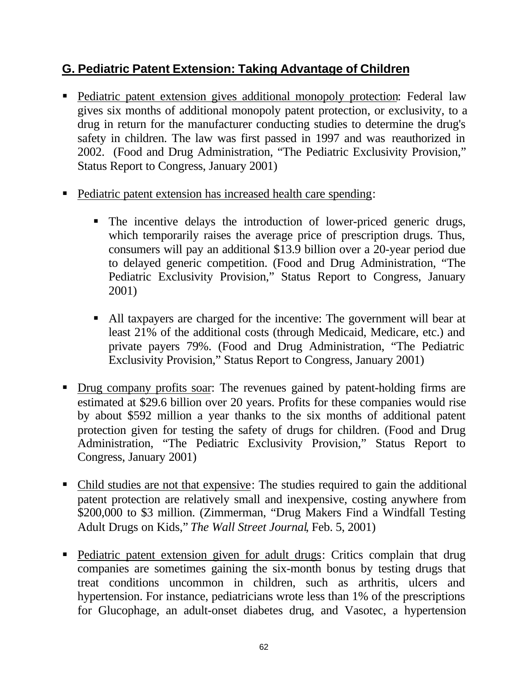#### **G. Pediatric Patent Extension: Taking Advantage of Children**

- Pediatric patent extension gives additional monopoly protection: Federal law gives six months of additional monopoly patent protection, or exclusivity, to a drug in return for the manufacturer conducting studies to determine the drug's safety in children. The law was first passed in 1997 and was reauthorized in 2002. (Food and Drug Administration, "The Pediatric Exclusivity Provision," Status Report to Congress, January 2001)
- Pediatric patent extension has increased health care spending:
	- The incentive delays the introduction of lower-priced generic drugs, which temporarily raises the average price of prescription drugs. Thus, consumers will pay an additional \$13.9 billion over a 20-year period due to delayed generic competition. (Food and Drug Administration, "The Pediatric Exclusivity Provision," Status Report to Congress, January 2001)
	- ß All taxpayers are charged for the incentive: The government will bear at least 21% of the additional costs (through Medicaid, Medicare, etc.) and private payers 79%. (Food and Drug Administration, "The Pediatric Exclusivity Provision," Status Report to Congress, January 2001)
- Drug company profits soar: The revenues gained by patent-holding firms are estimated at \$29.6 billion over 20 years. Profits for these companies would rise by about \$592 million a year thanks to the six months of additional patent protection given for testing the safety of drugs for children. (Food and Drug Administration, "The Pediatric Exclusivity Provision," Status Report to Congress, January 2001)
- Child studies are not that expensive: The studies required to gain the additional patent protection are relatively small and inexpensive, costing anywhere from \$200,000 to \$3 million. (Zimmerman, "Drug Makers Find a Windfall Testing Adult Drugs on Kids," *The Wall Street Journal*, Feb. 5, 2001)
- Pediatric patent extension given for adult drugs: Critics complain that drug companies are sometimes gaining the six-month bonus by testing drugs that treat conditions uncommon in children, such as arthritis, ulcers and hypertension. For instance, pediatricians wrote less than 1% of the prescriptions for Glucophage, an adult-onset diabetes drug, and Vasotec, a hypertension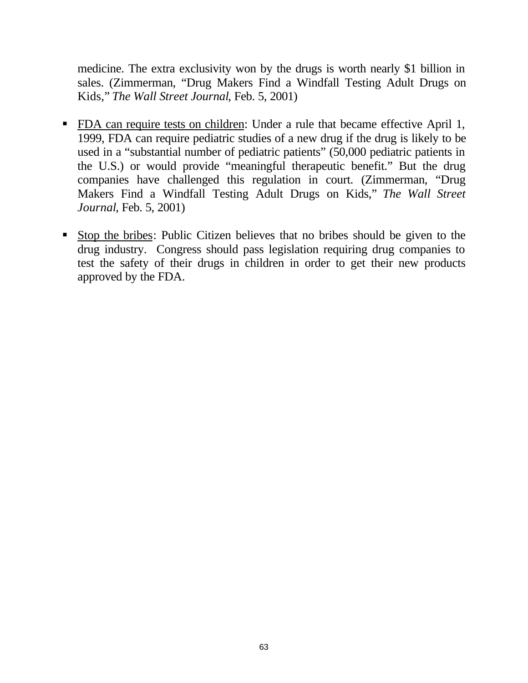medicine. The extra exclusivity won by the drugs is worth nearly \$1 billion in sales. (Zimmerman, "Drug Makers Find a Windfall Testing Adult Drugs on Kids," *The Wall Street Journal*, Feb. 5, 2001)

- **FDA** can require tests on children: Under a rule that became effective April 1, 1999, FDA can require pediatric studies of a new drug if the drug is likely to be used in a "substantial number of pediatric patients" (50,000 pediatric patients in the U.S.) or would provide "meaningful therapeutic benefit." But the drug companies have challenged this regulation in court. (Zimmerman, "Drug Makers Find a Windfall Testing Adult Drugs on Kids," *The Wall Street Journal*, Feb. 5, 2001)
- ß Stop the bribes: Public Citizen believes that no bribes should be given to the drug industry. Congress should pass legislation requiring drug companies to test the safety of their drugs in children in order to get their new products approved by the FDA.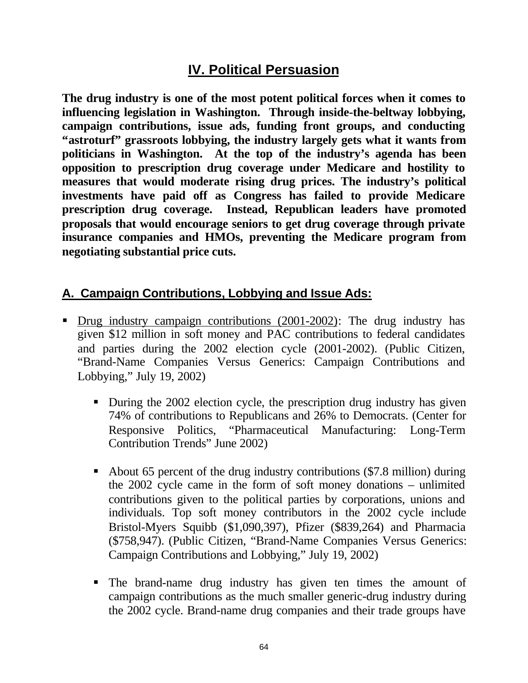### **IV. Political Persuasion**

**The drug industry is one of the most potent political forces when it comes to influencing legislation in Washington. Through inside-the-beltway lobbying, campaign contributions, issue ads, funding front groups, and conducting "astroturf" grassroots lobbying, the industry largely gets what it wants from politicians in Washington. At the top of the industry's agenda has been opposition to prescription drug coverage under Medicare and hostility to measures that would moderate rising drug prices. The industry's political investments have paid off as Congress has failed to provide Medicare prescription drug coverage. Instead, Republican leaders have promoted proposals that would encourage seniors to get drug coverage through private insurance companies and HMOs, preventing the Medicare program from negotiating substantial price cuts.**

#### **A. Campaign Contributions, Lobbying and Issue Ads:**

- Drug industry campaign contributions (2001-2002): The drug industry has given \$12 million in soft money and PAC contributions to federal candidates and parties during the 2002 election cycle (2001-2002). (Public Citizen, "Brand-Name Companies Versus Generics: Campaign Contributions and Lobbying," July 19, 2002)
	- During the 2002 election cycle, the prescription drug industry has given 74% of contributions to Republicans and 26% to Democrats. (Center for Responsive Politics, "Pharmaceutical Manufacturing: Long-Term Contribution Trends" June 2002)
	- About 65 percent of the drug industry contributions (\$7.8 million) during the 2002 cycle came in the form of soft money donations – unlimited contributions given to the political parties by corporations, unions and individuals. Top soft money contributors in the 2002 cycle include Bristol-Myers Squibb (\$1,090,397), Pfizer (\$839,264) and Pharmacia (\$758,947). (Public Citizen, "Brand-Name Companies Versus Generics: Campaign Contributions and Lobbying," July 19, 2002)
	- The brand-name drug industry has given ten times the amount of campaign contributions as the much smaller generic-drug industry during the 2002 cycle. Brand-name drug companies and their trade groups have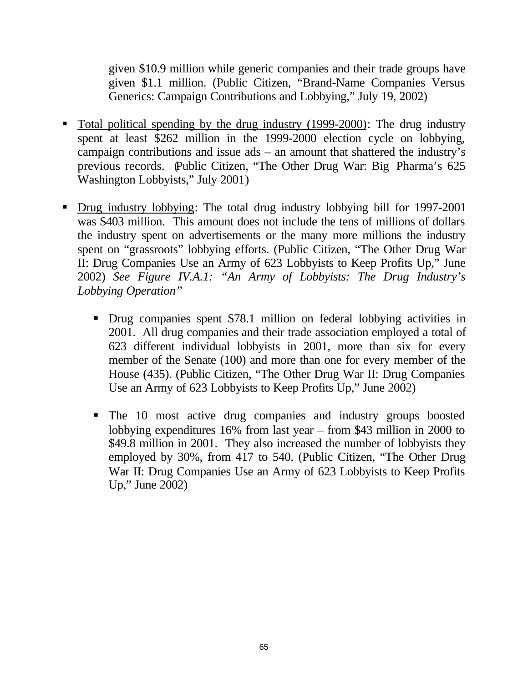given \$10.9 million while generic companies and their trade groups have given \$1.1 million. (Public Citizen, "Brand-Name Companies Versus Generics: Campaign Contributions and Lobbying," July 19, 2002)

- Total political spending by the drug industry (1999-2000): The drug industry spent at least \$262 million in the 1999-2000 election cycle on lobbying, campaign contributions and issue ads – an amount that shattered the industry's previous records. (Public Citizen, "The Other Drug War: Big Pharma's 625 Washington Lobbyists," July 2001)
- Drug industry lobbying: The total drug industry lobbying bill for 1997-2001 was \$403 million. This amount does not include the tens of millions of dollars the industry spent on advertisements or the many more millions the industry spent on "grassroots" lobbying efforts. (Public Citizen, "The Other Drug War II: Drug Companies Use an Army of 623 Lobbyists to Keep Profits Up," June 2002) *See Figure IV.A.1: "An Army of Lobbyists: The Drug Industry's Lobbying Operation"*
	- Drug companies spent \$78.1 million on federal lobbying activities in 2001. All drug companies and their trade association employed a total of 623 different individual lobbyists in 2001, more than six for every member of the Senate (100) and more than one for every member of the House (435). (Public Citizen, "The Other Drug War II: Drug Companies Use an Army of 623 Lobbyists to Keep Profits Up," June 2002)
	- The 10 most active drug companies and industry groups boosted lobbying expenditures 16% from last year – from \$43 million in 2000 to \$49.8 million in 2001. They also increased the number of lobbyists they employed by 30%, from 417 to 540. (Public Citizen, "The Other Drug War II: Drug Companies Use an Army of 623 Lobbyists to Keep Profits Up," June 2002)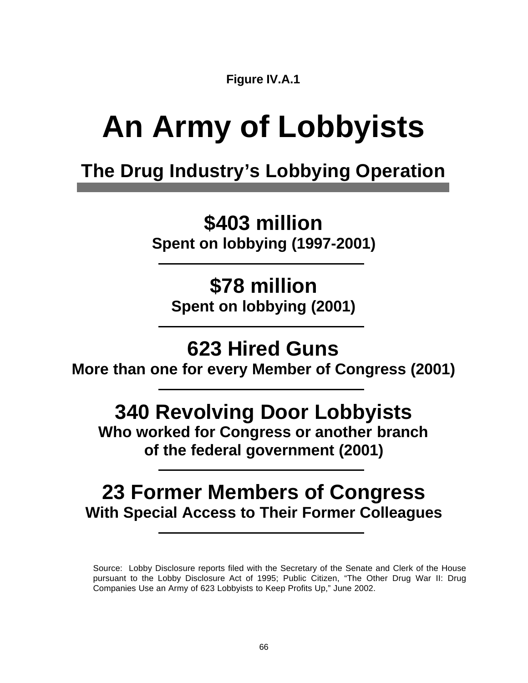**Figure IV.A.1**

# **An Army of Lobbyists**

# **The Drug Industry's Lobbying Operation**

**\$403 million**

**Spent on lobbying (1997-2001)**

**\$78 million Spent on lobbying (2001)**

# **623 Hired Guns**

**More than one for every Member of Congress (2001)**

# **340 Revolving Door Lobbyists**

**Who worked for Congress or another branch of the federal government (2001)**

## **23 Former Members of Congress With Special Access to Their Former Colleagues**

Source: Lobby Disclosure reports filed with the Secretary of the Senate and Clerk of the House pursuant to the Lobby Disclosure Act of 1995; Public Citizen, "The Other Drug War II: Drug Companies Use an Army of 623 Lobbyists to Keep Profits Up," June 2002.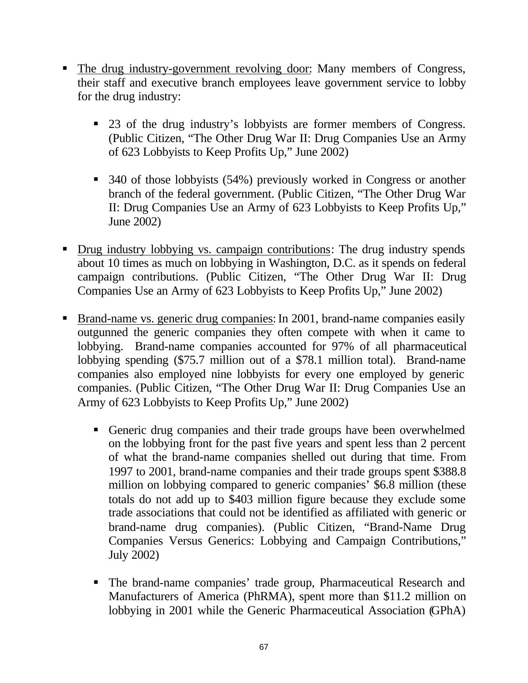- The drug industry-government revolving door: Many members of Congress, their staff and executive branch employees leave government service to lobby for the drug industry:
	- 23 of the drug industry's lobbyists are former members of Congress. (Public Citizen, "The Other Drug War II: Drug Companies Use an Army of 623 Lobbyists to Keep Profits Up," June 2002)
	- 340 of those lobbyists (54%) previously worked in Congress or another branch of the federal government. (Public Citizen, "The Other Drug War II: Drug Companies Use an Army of 623 Lobbyists to Keep Profits Up," June 2002)
- Drug industry lobbying vs. campaign contributions: The drug industry spends about 10 times as much on lobbying in Washington, D.C. as it spends on federal campaign contributions. (Public Citizen, "The Other Drug War II: Drug Companies Use an Army of 623 Lobbyists to Keep Profits Up," June 2002)
- **Brand-name vs. generic drug companies: In 2001, brand-name companies easily** outgunned the generic companies they often compete with when it came to lobbying. Brand-name companies accounted for 97% of all pharmaceutical lobbying spending (\$75.7 million out of a \$78.1 million total). Brand-name companies also employed nine lobbyists for every one employed by generic companies. (Public Citizen, "The Other Drug War II: Drug Companies Use an Army of 623 Lobbyists to Keep Profits Up," June 2002)
	- ß Generic drug companies and their trade groups have been overwhelmed on the lobbying front for the past five years and spent less than 2 percent of what the brand-name companies shelled out during that time. From 1997 to 2001, brand-name companies and their trade groups spent \$388.8 million on lobbying compared to generic companies' \$6.8 million (these totals do not add up to \$403 million figure because they exclude some trade associations that could not be identified as affiliated with generic or brand-name drug companies). (Public Citizen, "Brand-Name Drug Companies Versus Generics: Lobbying and Campaign Contributions," July 2002)
	- The brand-name companies' trade group, Pharmaceutical Research and Manufacturers of America (PhRMA), spent more than \$11.2 million on lobbying in 2001 while the Generic Pharmaceutical Association (GPhA)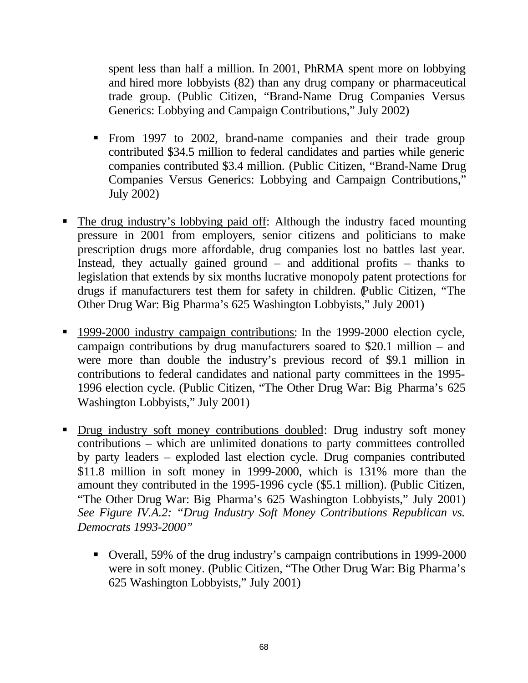spent less than half a million. In 2001, PhRMA spent more on lobbying and hired more lobbyists (82) than any drug company or pharmaceutical trade group. (Public Citizen, "Brand-Name Drug Companies Versus Generics: Lobbying and Campaign Contributions," July 2002)

- ß From 1997 to 2002, brand-name companies and their trade group contributed \$34.5 million to federal candidates and parties while generic companies contributed \$3.4 million. (Public Citizen, "Brand-Name Drug Companies Versus Generics: Lobbying and Campaign Contributions," July 2002)
- ß The drug industry's lobbying paid off: Although the industry faced mounting pressure in 2001 from employers, senior citizens and politicians to make prescription drugs more affordable, drug companies lost no battles last year. Instead, they actually gained ground – and additional profits – thanks to legislation that extends by six months lucrative monopoly patent protections for drugs if manufacturers test them for safety in children. (Public Citizen, "The Other Drug War: Big Pharma's 625 Washington Lobbyists," July 2001)
- **1999-2000 industry campaign contributions: In the 1999-2000 election cycle,** campaign contributions by drug manufacturers soared to \$20.1 million – and were more than double the industry's previous record of \$9.1 million in contributions to federal candidates and national party committees in the 1995- 1996 election cycle. (Public Citizen, "The Other Drug War: Big Pharma's 625 Washington Lobbyists," July 2001)
- Drug industry soft money contributions doubled: Drug industry soft money contributions – which are unlimited donations to party committees controlled by party leaders – exploded last election cycle. Drug companies contributed \$11.8 million in soft money in 1999-2000, which is 131% more than the amount they contributed in the 1995-1996 cycle (\$5.1 million). (Public Citizen, "The Other Drug War: Big Pharma's 625 Washington Lobbyists," July 2001) *See Figure IV.A.2: "Drug Industry Soft Money Contributions Republican vs. Democrats 1993-2000"*
	- ß Overall, 59% of the drug industry's campaign contributions in 1999-2000 were in soft money. (Public Citizen, "The Other Drug War: Big Pharma's 625 Washington Lobbyists," July 2001)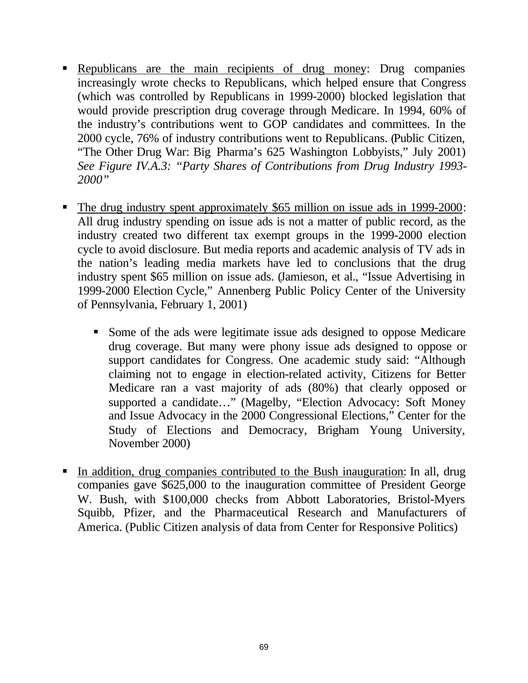- Republicans are the main recipients of drug money: Drug companies increasingly wrote checks to Republicans, which helped ensure that Congress (which was controlled by Republicans in 1999-2000) blocked legislation that would provide prescription drug coverage through Medicare. In 1994, 60% of the industry's contributions went to GOP candidates and committees. In the 2000 cycle, 76% of industry contributions went to Republicans. (Public Citizen, "The Other Drug War: Big Pharma's 625 Washington Lobbyists," July 2001) *See Figure IV.A.3: "Party Shares of Contributions from Drug Industry 1993- 2000"*
- The drug industry spent approximately \$65 million on issue ads in 1999-2000: All drug industry spending on issue ads is not a matter of public record, as the industry created two different tax exempt groups in the 1999-2000 election cycle to avoid disclosure. But media reports and academic analysis of TV ads in the nation's leading media markets have led to conclusions that the drug industry spent \$65 million on issue ads. (Jamieson, et al., "Issue Advertising in 1999-2000 Election Cycle," Annenberg Public Policy Center of the University of Pennsylvania, February 1, 2001)
	- Some of the ads were legitimate issue ads designed to oppose Medicare drug coverage. But many were phony issue ads designed to oppose or support candidates for Congress. One academic study said: "Although claiming not to engage in election-related activity, Citizens for Better Medicare ran a vast majority of ads (80%) that clearly opposed or supported a candidate…" (Magelby, "Election Advocacy: Soft Money and Issue Advocacy in the 2000 Congressional Elections," Center for the Study of Elections and Democracy, Brigham Young University, November 2000)
- In addition, drug companies contributed to the Bush inauguration: In all, drug companies gave \$625,000 to the inauguration committee of President George W. Bush, with \$100,000 checks from Abbott Laboratories, Bristol-Myers Squibb, Pfizer, and the Pharmaceutical Research and Manufacturers of America. (Public Citizen analysis of data from Center for Responsive Politics)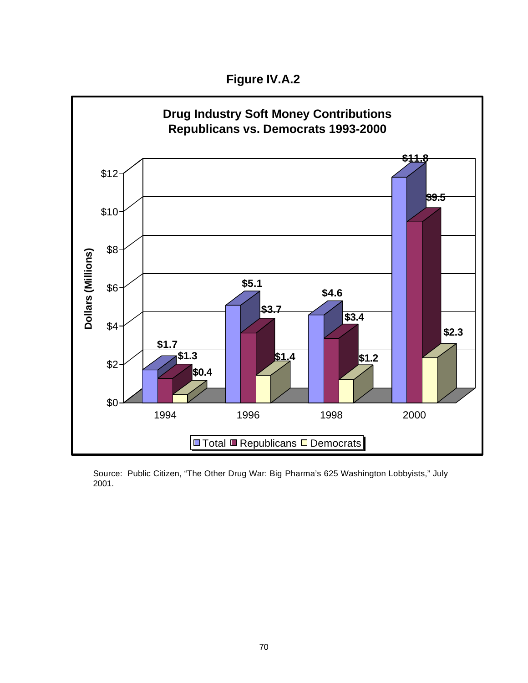**Figure IV.A.2**



Source: Public Citizen, "The Other Drug War: Big Pharma's 625 Washington Lobbyists," July 2001.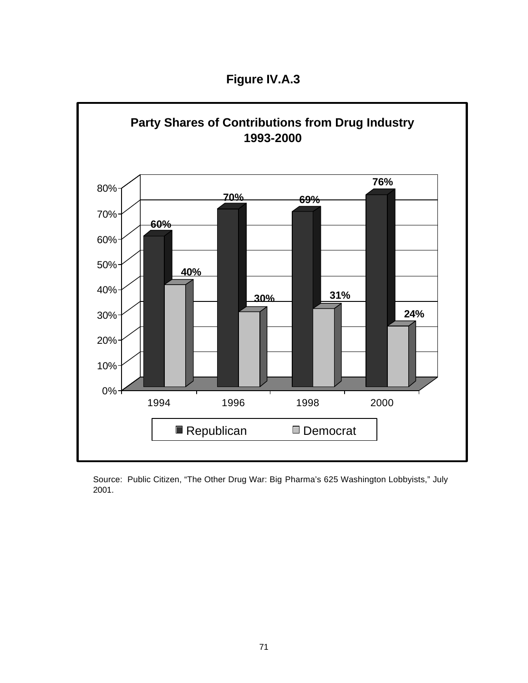**Figure IV.A.3**



Source: Public Citizen, "The Other Drug War: Big Pharma's 625 Washington Lobbyists," July 2001.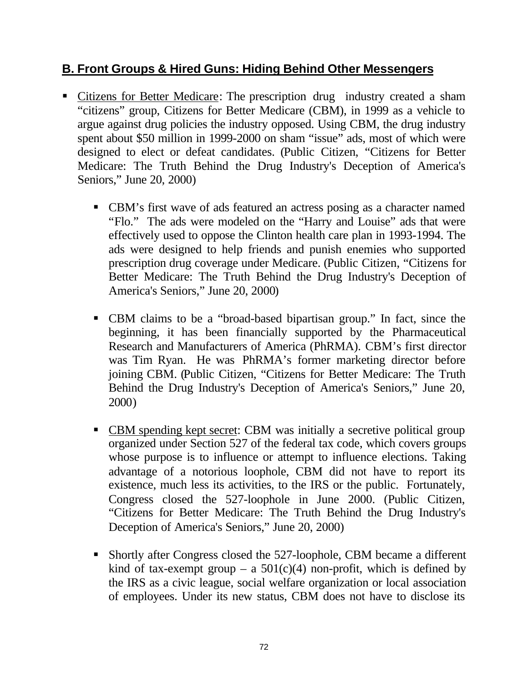## **B. Front Groups & Hired Guns: Hiding Behind Other Messengers**

- Citizens for Better Medicare: The prescription drug industry created a sham "citizens" group, Citizens for Better Medicare (CBM), in 1999 as a vehicle to argue against drug policies the industry opposed. Using CBM, the drug industry spent about \$50 million in 1999-2000 on sham "issue" ads, most of which were designed to elect or defeat candidates. (Public Citizen, "Citizens for Better Medicare: The Truth Behind the Drug Industry's Deception of America's Seniors," June 20, 2000)
	- CBM's first wave of ads featured an actress posing as a character named "Flo." The ads were modeled on the "Harry and Louise" ads that were effectively used to oppose the Clinton health care plan in 1993-1994. The ads were designed to help friends and punish enemies who supported prescription drug coverage under Medicare. (Public Citizen, "Citizens for Better Medicare: The Truth Behind the Drug Industry's Deception of America's Seniors," June 20, 2000)
	- ß CBM claims to be a "broad-based bipartisan group." In fact, since the beginning, it has been financially supported by the Pharmaceutical Research and Manufacturers of America (PhRMA). CBM's first director was Tim Ryan. He was PhRMA's former marketing director before joining CBM. (Public Citizen, "Citizens for Better Medicare: The Truth Behind the Drug Industry's Deception of America's Seniors," June 20, 2000)
	- CBM spending kept secret: CBM was initially a secretive political group organized under Section 527 of the federal tax code, which covers groups whose purpose is to influence or attempt to influence elections. Taking advantage of a notorious loophole, CBM did not have to report its existence, much less its activities, to the IRS or the public. Fortunately, Congress closed the 527-loophole in June 2000. (Public Citizen, "Citizens for Better Medicare: The Truth Behind the Drug Industry's Deception of America's Seniors," June 20, 2000)
	- Shortly after Congress closed the 527-loophole, CBM became a different kind of tax-exempt group – a  $501(c)(4)$  non-profit, which is defined by the IRS as a civic league, social welfare organization or local association of employees. Under its new status, CBM does not have to disclose its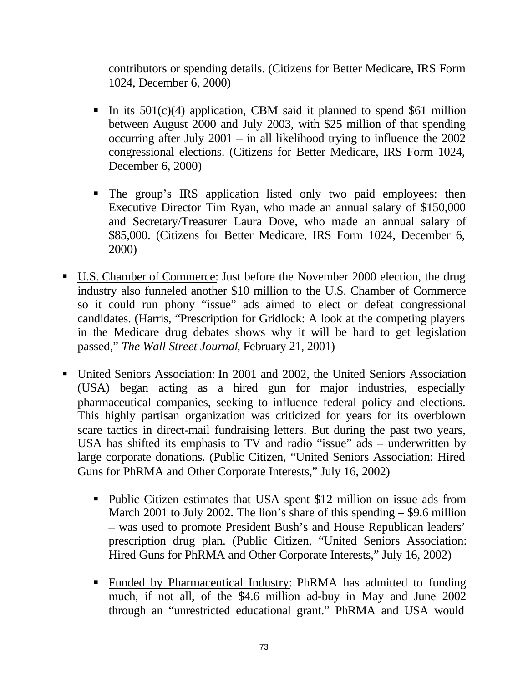contributors or spending details. (Citizens for Better Medicare, IRS Form 1024, December 6, 2000)

- In its  $501(c)(4)$  application, CBM said it planned to spend \$61 million between August 2000 and July 2003, with \$25 million of that spending occurring after July 2001 – in all likelihood trying to influence the 2002 congressional elections. (Citizens for Better Medicare, IRS Form 1024, December 6, 2000)
- ß The group's IRS application listed only two paid employees: then Executive Director Tim Ryan, who made an annual salary of \$150,000 and Secretary/Treasurer Laura Dove, who made an annual salary of \$85,000. (Citizens for Better Medicare, IRS Form 1024, December 6, 2000)
- ß U.S. Chamber of Commerce: Just before the November 2000 election, the drug industry also funneled another \$10 million to the U.S. Chamber of Commerce so it could run phony "issue" ads aimed to elect or defeat congressional candidates. (Harris, "Prescription for Gridlock: A look at the competing players in the Medicare drug debates shows why it will be hard to get legislation passed," *The Wall Street Journal*, February 21, 2001)
- United Seniors Association: In 2001 and 2002, the United Seniors Association (USA) began acting as a hired gun for major industries, especially pharmaceutical companies, seeking to influence federal policy and elections. This highly partisan organization was criticized for years for its overblown scare tactics in direct-mail fundraising letters. But during the past two years, USA has shifted its emphasis to TV and radio "issue" ads – underwritten by large corporate donations. (Public Citizen, "United Seniors Association: Hired Guns for PhRMA and Other Corporate Interests," July 16, 2002)
	- Public Citizen estimates that USA spent \$12 million on issue ads from March 2001 to July 2002. The lion's share of this spending – \$9.6 million – was used to promote President Bush's and House Republican leaders' prescription drug plan. (Public Citizen, "United Seniors Association: Hired Guns for PhRMA and Other Corporate Interests," July 16, 2002)
	- ß Funded by Pharmaceutical Industry: PhRMA has admitted to funding much, if not all, of the \$4.6 million ad-buy in May and June 2002 through an "unrestricted educational grant." PhRMA and USA would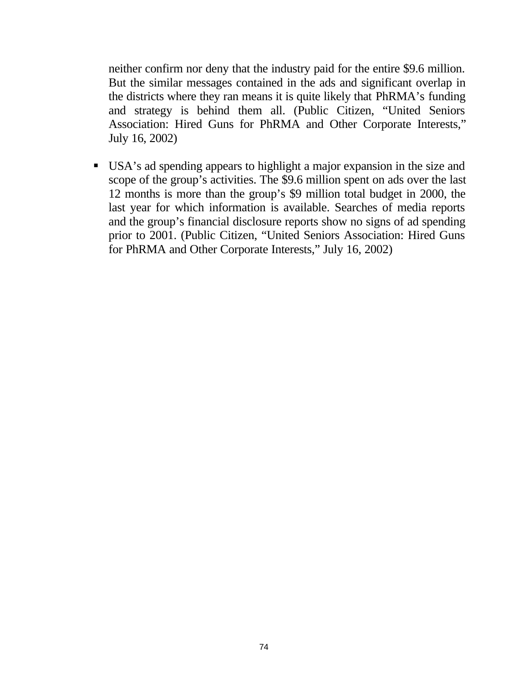neither confirm nor deny that the industry paid for the entire \$9.6 million. But the similar messages contained in the ads and significant overlap in the districts where they ran means it is quite likely that PhRMA's funding and strategy is behind them all. (Public Citizen, "United Seniors Association: Hired Guns for PhRMA and Other Corporate Interests," July 16, 2002)

ß USA's ad spending appears to highlight a major expansion in the size and scope of the group's activities. The \$9.6 million spent on ads over the last 12 months is more than the group's \$9 million total budget in 2000, the last year for which information is available. Searches of media reports and the group's financial disclosure reports show no signs of ad spending prior to 2001. (Public Citizen, "United Seniors Association: Hired Guns for PhRMA and Other Corporate Interests," July 16, 2002)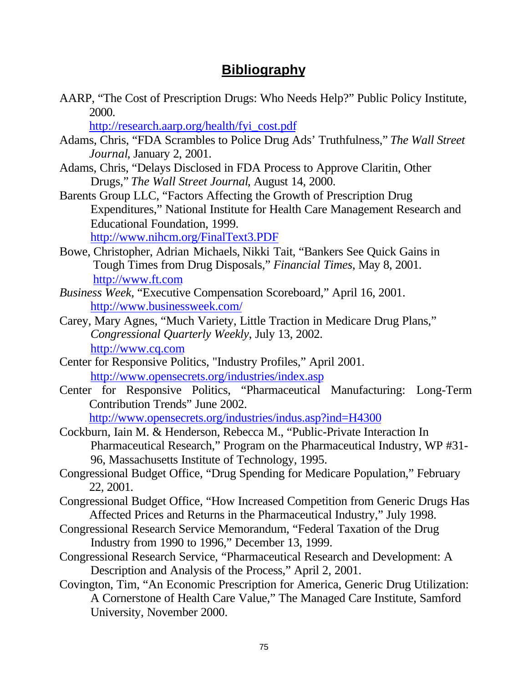## **Bibliography**

AARP, "The Cost of Prescription Drugs: Who Needs Help?" Public Policy Institute, 2000.

[http://research.aarp.org/health/fyi\\_cost.pdf](http://research.aarp.org/health/fyi_cost.pdf)

- Adams, Chris, "FDA Scrambles to Police Drug Ads' Truthfulness," *The Wall Street Journal*, January 2, 2001.
- Adams, Chris, "Delays Disclosed in FDA Process to Approve Claritin, Other Drugs," *The Wall Street Journal*, August 14, 2000.
- Barents Group LLC, "Factors Affecting the Growth of Prescription Drug Expenditures," National Institute for Health Care Management Research and Educational Foundation, 1999. <http://www.nihcm.org/FinalText3.PDF>
- Bowe, Christopher, Adrian Michaels, Nikki Tait, "Bankers See Quick Gains in Tough Times from Drug Disposals," *Financial Times*, May 8, 2001. <http://www.ft.com>
- *Business Week*, "Executive Compensation Scoreboard," April 16, 2001. <http://www.businessweek.com/>
- Carey, Mary Agnes, "Much Variety, Little Traction in Medicare Drug Plans," *Congressional Quarterly Weekly*, July 13, 2002. <http://www.cq.com>
- Center for Responsive Politics, "Industry Profiles," April 2001. <http://www.opensecrets.org/industries/index.asp>
- Center for Responsive Politics, "Pharmaceutical Manufacturing: Long-Term Contribution Trends" June 2002. <http://www.opensecrets.org/industries/indus.asp?ind=H4300>
- Cockburn, Iain M. & Henderson, Rebecca M., "Public-Private Interaction In Pharmaceutical Research," Program on the Pharmaceutical Industry, WP #31- 96, Massachusetts Institute of Technology, 1995.
- Congressional Budget Office, "Drug Spending for Medicare Population," February 22, 2001.
- Congressional Budget Office, "How Increased Competition from Generic Drugs Has Affected Prices and Returns in the Pharmaceutical Industry," July 1998.
- Congressional Research Service Memorandum, "Federal Taxation of the Drug Industry from 1990 to 1996," December 13, 1999.
- Congressional Research Service, "Pharmaceutical Research and Development: A Description and Analysis of the Process," April 2, 2001.
- Covington, Tim, "An Economic Prescription for America, Generic Drug Utilization: A Cornerstone of Health Care Value," The Managed Care Institute, Samford University, November 2000.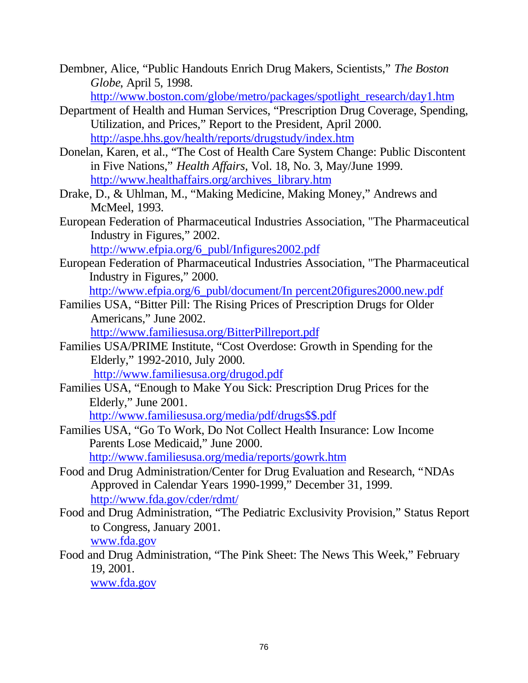Dembner, Alice, "Public Handouts Enrich Drug Makers, Scientists," *The Boston Globe*, April 5, 1998.

[http://www.boston.com/globe/metro/packages/spotlight\\_research/day1.htm](http://www.boston.com/globe/metro/packages/spotlight_research/day1.htm)

- Department of Health and Human Services, "Prescription Drug Coverage, Spending, Utilization, and Prices," Report to the President, April 2000. <http://aspe.hhs.gov/health/reports/drugstudy/index.htm>
- Donelan, Karen, et al., "The Cost of Health Care System Change: Public Discontent in Five Nations," *Health Affairs*, Vol. 18, No. 3, May/June 1999. [http://www.healthaffairs.org/archives\\_library.htm](http://www.healthaffairs.org/archives_library.htm)
- Drake, D., & Uhlman, M., "Making Medicine, Making Money," Andrews and McMeel, 1993.
- European Federation of Pharmaceutical Industries Association, "The Pharmaceutical Industry in Figures," 2002.

[http://www.efpia.org/6\\_publ/Infigures2002.pdf](http://www.efpia.org/6_publ/Infigures2002.pdf)

European Federation of Pharmaceutical Industries Association, "The Pharmaceutical Industry in Figures," 2000.

[http://www.efpia.org/6\\_publ/document/In](http://www.efpia.org/6_publ/document/In) percent20figures2000.new.pdf

Families USA, "Bitter Pill: The Rising Prices of Prescription Drugs for Older Americans," June 2002.

<http://www.familiesusa.org/BitterPillreport.pdf>

- Families USA/PRIME Institute, "Cost Overdose: Growth in Spending for the Elderly," 1992-2010, July 2000. <http://www.familiesusa.org/drugod.pdf>
- Families USA, "Enough to Make You Sick: Prescription Drug Prices for the Elderly," June 2001.

[http://www.familiesusa.org/media/pdf/drugs\\$\\$.pdf](http://www.familiesusa.org/media/pdf/drugs$$.pdf)

Families USA, "Go To Work, Do Not Collect Health Insurance: Low Income Parents Lose Medicaid," June 2000. <http://www.familiesusa.org/media/reports/gowrk.htm>

Food and Drug Administration/Center for Drug Evaluation and Research, "NDAs Approved in Calendar Years 1990-1999," December 31, 1999. <http://www.fda.gov/cder/rdmt/>

Food and Drug Administration, "The Pediatric Exclusivity Provision," Status Report to Congress, January 2001. www.fda.gov

Food and Drug Administration, "The Pink Sheet: The News This Week," February 19, 2001.

www.fda.gov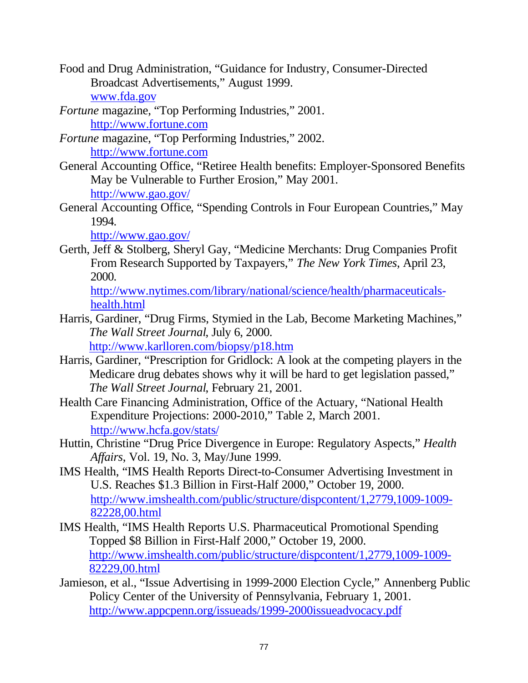- Food and Drug Administration, "Guidance for Industry, Consumer-Directed Broadcast Advertisements," August 1999. www.fda.gov
- *Fortune* magazine, "Top Performing Industries," 2001. <http://www.fortune.com>
- *Fortune* magazine, "Top Performing Industries," 2002. <http://www.fortune.com>
- General Accounting Office, "Retiree Health benefits: Employer-Sponsored Benefits May be Vulnerable to Further Erosion," May 2001. <http://www.gao.gov/>
- General Accounting Office, "Spending Controls in Four European Countries," May 1994.

<http://www.gao.gov/>

Gerth, Jeff & Stolberg, Sheryl Gay, "Medicine Merchants: Drug Companies Profit From Research Supported by Taxpayers," *The New York Times*, April 23, 2000.

[http://www.nytimes.com/library/national/science/health/pharmaceuticals](http://www.nytimes.com/library/national/science/health/pharmaceuticals-health.html)health.html

- Harris, Gardiner, "Drug Firms, Stymied in the Lab, Become Marketing Machines," *The Wall Street Journal*, July 6, 2000. <http://www.karlloren.com/biopsy/p18.htm>
- Harris, Gardiner, "Prescription for Gridlock: A look at the competing players in the Medicare drug debates shows why it will be hard to get legislation passed," *The Wall Street Journal*, February 21, 2001.
- Health Care Financing Administration, Office of the Actuary, "National Health Expenditure Projections: 2000-2010," Table 2, March 2001. <http://www.hcfa.gov/stats/>
- Huttin, Christine "Drug Price Divergence in Europe: Regulatory Aspects," *Health Affairs*, Vol. 19, No. 3, May/June 1999.
- IMS Health, "IMS Health Reports Direct-to-Consumer Advertising Investment in U.S. Reaches \$1.3 Billion in First-Half 2000," October 19, 2000. <http://www.imshealth.com/public/structure/dispcontent/1,2779,1009-1009-> 82228,00.html
- IMS Health, "IMS Health Reports U.S. Pharmaceutical Promotional Spending Topped \$8 Billion in First-Half 2000," October 19, 2000. <http://www.imshealth.com/public/structure/dispcontent/1,2779,1009-1009-> 82229,00.html
- Jamieson, et al., "Issue Advertising in 1999-2000 Election Cycle," Annenberg Public Policy Center of the University of Pennsylvania, February 1, 2001. <http://www.appcpenn.org/issueads/1999-2000issueadvocacy.pdf>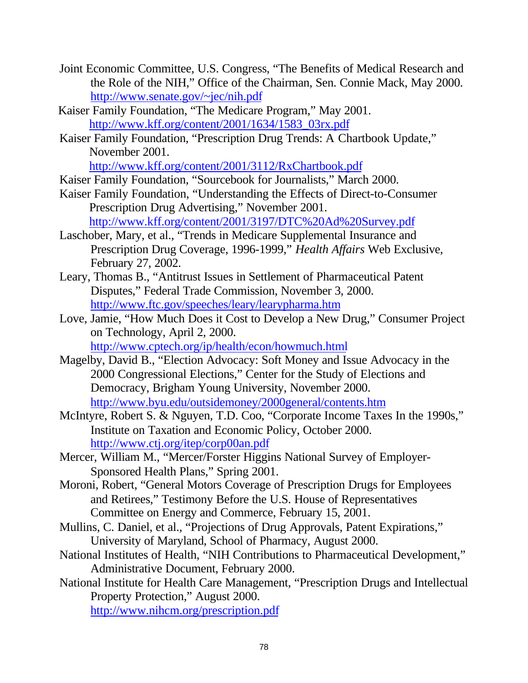- Joint Economic Committee, U.S. Congress, "The Benefits of Medical Research and the Role of the NIH," Office of the Chairman, Sen. Connie Mack, May 2000. <http://www.senate.gov/~jec/nih.pdf>
- Kaiser Family Foundation, "The Medicare Program," May 2001. [http://www.kff.org/content/2001/1634/1583\\_03rx.pdf](http://www.kff.org/content/2001/1634/1583_03rx.pdf)
- Kaiser Family Foundation, "Prescription Drug Trends: A Chartbook Update," November 2001.

<http://www.kff.org/content/2001/3112/RxChartbook.pdf>

- Kaiser Family Foundation, "Sourcebook for Journalists," March 2000.
- Kaiser Family Foundation, "Understanding the Effects of Direct-to-Consumer Prescription Drug Advertising," November 2001. <http://www.kff.org/content/2001/3197/DTC%20Ad%20Survey.pdf>
- Laschober, Mary, et al., "Trends in Medicare Supplemental Insurance and Prescription Drug Coverage, 1996-1999," *Health Affairs* Web Exclusive, February 27, 2002.
- Leary, Thomas B., "Antitrust Issues in Settlement of Pharmaceutical Patent Disputes," Federal Trade Commission, November 3, 2000. <http://www.ftc.gov/speeches/leary/learypharma.htm>
- Love, Jamie, "How Much Does it Cost to Develop a New Drug," Consumer Project on Technology, April 2, 2000. <http://www.cptech.org/ip/health/econ/howmuch.html>
- Magelby, David B., "Election Advocacy: Soft Money and Issue Advocacy in the 2000 Congressional Elections," Center for the Study of Elections and Democracy, Brigham Young University, November 2000. <http://www.byu.edu/outsidemoney/2000general/contents.htm>
- McIntyre, Robert S. & Nguyen, T.D. Coo, "Corporate Income Taxes In the 1990s," Institute on Taxation and Economic Policy, October 2000. <http://www.ctj.org/itep/corp00an.pdf>
- Mercer, William M., "Mercer/Forster Higgins National Survey of Employer-Sponsored Health Plans," Spring 2001.
- Moroni, Robert, "General Motors Coverage of Prescription Drugs for Employees and Retirees," Testimony Before the U.S. House of Representatives Committee on Energy and Commerce, February 15, 2001.
- Mullins, C. Daniel, et al., "Projections of Drug Approvals, Patent Expirations," University of Maryland, School of Pharmacy, August 2000.
- National Institutes of Health, "NIH Contributions to Pharmaceutical Development," Administrative Document, February 2000.
- National Institute for Health Care Management, "Prescription Drugs and Intellectual Property Protection," August 2000.

<http://www.nihcm.org/prescription.pdf>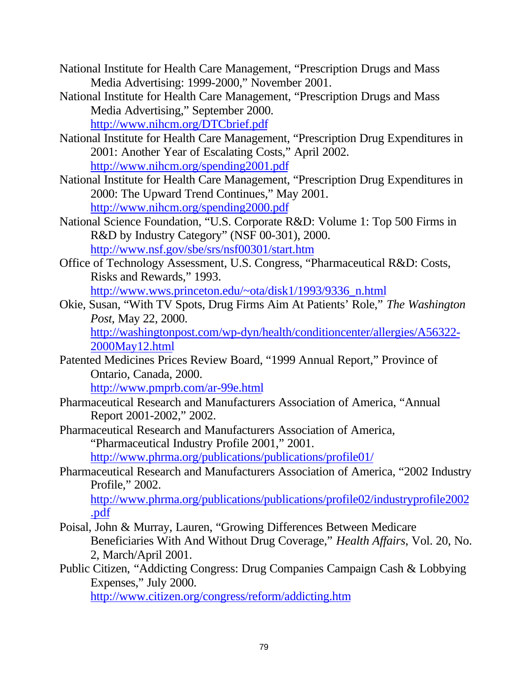- National Institute for Health Care Management, "Prescription Drugs and Mass Media Advertising: 1999-2000," November 2001.
- National Institute for Health Care Management, "Prescription Drugs and Mass Media Advertising," September 2000. <http://www.nihcm.org/DTCbrief.pdf>
- National Institute for Health Care Management, "Prescription Drug Expenditures in 2001: Another Year of Escalating Costs," April 2002. <http://www.nihcm.org/spending2001.pdf>
- National Institute for Health Care Management, "Prescription Drug Expenditures in 2000: The Upward Trend Continues," May 2001. <http://www.nihcm.org/spending2000.pdf>
- National Science Foundation, "U.S. Corporate R&D: Volume 1: Top 500 Firms in R&D by Industry Category" (NSF 00-301), 2000. <http://www.nsf.gov/sbe/srs/nsf00301/start.htm>
- Office of Technology Assessment, U.S. Congress, "Pharmaceutical R&D: Costs, Risks and Rewards," 1993. [http://www.wws.princeton.edu/~ota/disk1/1993/9336\\_n.html](http://www.wws.princeton.edu/~ota/disk1/1993/9336_n.html)
- Okie, Susan, "With TV Spots, Drug Firms Aim At Patients' Role," *The Washington Post*, May 22, 2000. <http://washingtonpost.com/wp-dyn/health/conditioncenter/allergies/A56322-> 2000May12.html
- Patented Medicines Prices Review Board, "1999 Annual Report," Province of Ontario, Canada, 2000. <http://www.pmprb.com/ar-99e.html>
- Pharmaceutical Research and Manufacturers Association of America, "Annual Report 2001-2002," 2002.
- Pharmaceutical Research and Manufacturers Association of America, "Pharmaceutical Industry Profile 2001," 2001. <http://www.phrma.org/publications/publications/profile01/>
- Pharmaceutical Research and Manufacturers Association of America, "2002 Industry Profile," 2002.

<http://www.phrma.org/publications/publications/profile02/industryprofile2002> .pdf

- Poisal, John & Murray, Lauren, "Growing Differences Between Medicare Beneficiaries With And Without Drug Coverage," *Health Affairs*, Vol. 20, No. 2, March/April 2001.
- Public Citizen, "Addicting Congress: Drug Companies Campaign Cash & Lobbying Expenses," July 2000.

<http://www.citizen.org/congress/reform/addicting.htm>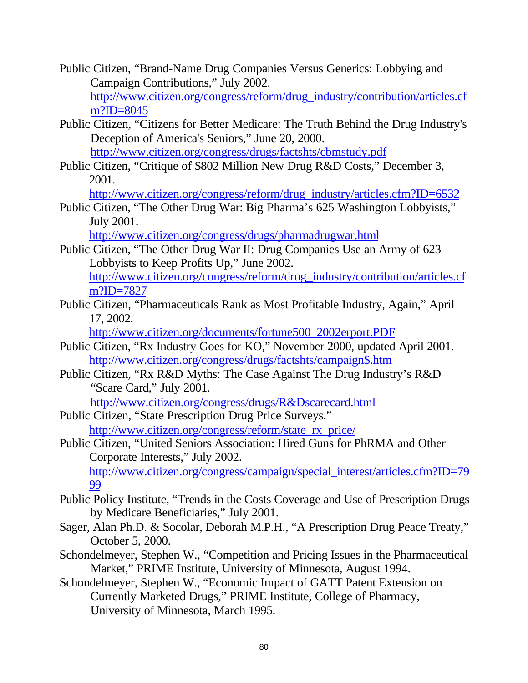- Public Citizen, "Brand-Name Drug Companies Versus Generics: Lobbying and Campaign Contributions," July 2002. [http://www.citizen.org/congress/reform/drug\\_industry/contribution/articles.cf](http://www.citizen.org/congress/reform/drug_industry/contribution/articles.cf) m?ID=8045
- Public Citizen, "Citizens for Better Medicare: The Truth Behind the Drug Industry's Deception of America's Seniors," June 20, 2000. <http://www.citizen.org/congress/drugs/factshts/cbmstudy.pdf>
- Public Citizen, "Critique of \$802 Million New Drug R&D Costs," December 3, 2001.

[http://www.citizen.org/congress/reform/drug\\_industry/articles.cfm?ID=6532](http://www.citizen.org/congress/reform/drug_industry/articles.cfm?ID=6532)

Public Citizen, "The Other Drug War: Big Pharma's 625 Washington Lobbyists," July 2001.

<http://www.citizen.org/congress/drugs/pharmadrugwar.html>

Public Citizen, "The Other Drug War II: Drug Companies Use an Army of 623 Lobbyists to Keep Profits Up," June 2002. [http://www.citizen.org/congress/reform/drug\\_industry/contribution/articles.cf](http://www.citizen.org/congress/reform/drug_industry/contribution/articles.cf) m?ID=7827

Public Citizen, "Pharmaceuticals Rank as Most Profitable Industry, Again," April 17, 2002.

[http://www.citizen.org/documents/fortune500\\_2002erport.PDF](http://www.citizen.org/documents/fortune500_2002erport.PDF)

- Public Citizen, "Rx Industry Goes for KO," November 2000, updated April 2001. [http://www.citizen.org/congress/drugs/factshts/campaign\\$.htm](http://www.citizen.org/congress/drugs/factshts/campaign$.htm)
- Public Citizen, "Rx R&D Myths: The Case Against The Drug Industry's R&D "Scare Card," July 2001.

<http://www.citizen.org/congress/drugs/R&Dscarecard.html>

Public Citizen, "State Prescription Drug Price Surveys." [http://www.citizen.org/congress/reform/state\\_rx\\_price/](http://www.citizen.org/congress/reform/state_rx_price/)

Public Citizen, "United Seniors Association: Hired Guns for PhRMA and Other Corporate Interests," July 2002. [http://www.citizen.org/congress/campaign/special\\_interest/articles.cfm?ID=79](http://www.citizen.org/congress/campaign/special_interest/articles.cfm?ID=79) 99

- Public Policy Institute, "Trends in the Costs Coverage and Use of Prescription Drugs by Medicare Beneficiaries," July 2001.
- Sager, Alan Ph.D. & Socolar, Deborah M.P.H., "A Prescription Drug Peace Treaty," October 5, 2000.
- Schondelmeyer, Stephen W., "Competition and Pricing Issues in the Pharmaceutical Market," PRIME Institute, University of Minnesota, August 1994.
- Schondelmeyer, Stephen W., "Economic Impact of GATT Patent Extension on Currently Marketed Drugs," PRIME Institute, College of Pharmacy, University of Minnesota, March 1995.